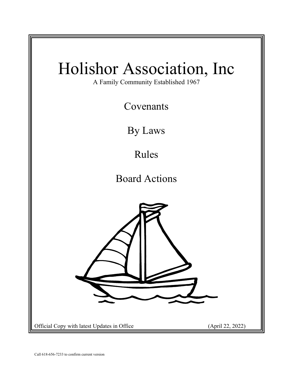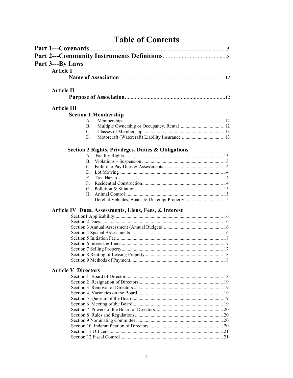# **Table of Contents**

| Part 3---By Laws           |                                                       |
|----------------------------|-------------------------------------------------------|
| <b>Article I</b>           |                                                       |
|                            |                                                       |
|                            |                                                       |
| <b>Article II</b>          |                                                       |
|                            |                                                       |
| <b>Article III</b>         |                                                       |
|                            |                                                       |
|                            | <b>Section 1 Membership</b>                           |
| А.                         |                                                       |
| В.                         |                                                       |
| C.                         |                                                       |
| D.                         |                                                       |
|                            | Section 2 Rights, Privileges, Duties & Obligations    |
| А.                         |                                                       |
| В.                         |                                                       |
| C.                         |                                                       |
| D.                         |                                                       |
| Е.                         |                                                       |
| $F_{\rm c}$                |                                                       |
|                            |                                                       |
|                            |                                                       |
| Ι.                         | Derelict Vehicles, Boats, & Unkempt Property 15       |
|                            |                                                       |
|                            | Article IV Dues, Assessments, Liens, Fees, & Interest |
|                            |                                                       |
|                            |                                                       |
|                            |                                                       |
|                            |                                                       |
|                            |                                                       |
|                            |                                                       |
|                            |                                                       |
|                            |                                                       |
|                            |                                                       |
|                            |                                                       |
|                            |                                                       |
|                            |                                                       |
|                            |                                                       |
|                            |                                                       |
|                            |                                                       |
|                            |                                                       |
|                            |                                                       |
|                            |                                                       |
| <b>Article V Directors</b> |                                                       |
|                            |                                                       |
|                            |                                                       |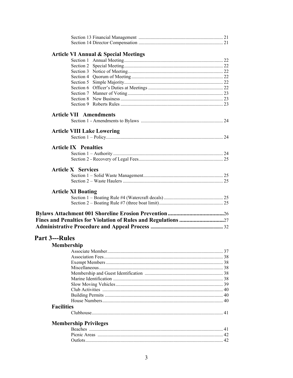|                       | <b>Article VI Annual &amp; Special Meetings</b> |  |
|-----------------------|-------------------------------------------------|--|
|                       |                                                 |  |
|                       |                                                 |  |
|                       |                                                 |  |
|                       |                                                 |  |
|                       |                                                 |  |
|                       |                                                 |  |
|                       |                                                 |  |
|                       |                                                 |  |
|                       |                                                 |  |
|                       | <b>Article VII Amendments</b>                   |  |
|                       |                                                 |  |
|                       |                                                 |  |
|                       | <b>Article VIII Lake Lowering</b>               |  |
|                       |                                                 |  |
|                       | <b>Article IX Penalties</b>                     |  |
|                       |                                                 |  |
|                       |                                                 |  |
|                       |                                                 |  |
|                       | <b>Article X Services</b>                       |  |
|                       |                                                 |  |
|                       |                                                 |  |
|                       |                                                 |  |
|                       | <b>Article XI Boating</b>                       |  |
|                       |                                                 |  |
|                       |                                                 |  |
|                       |                                                 |  |
|                       |                                                 |  |
|                       |                                                 |  |
|                       |                                                 |  |
| <b>Part 3---Rules</b> |                                                 |  |
|                       |                                                 |  |
| <b>Membership</b>     |                                                 |  |
|                       |                                                 |  |
|                       |                                                 |  |
|                       |                                                 |  |
|                       |                                                 |  |
|                       |                                                 |  |
|                       |                                                 |  |
|                       |                                                 |  |
|                       |                                                 |  |
|                       |                                                 |  |
| <b>Facilities</b>     |                                                 |  |
|                       |                                                 |  |
|                       |                                                 |  |
|                       | <b>Membership Privileges</b>                    |  |
|                       |                                                 |  |
|                       |                                                 |  |
|                       |                                                 |  |
|                       |                                                 |  |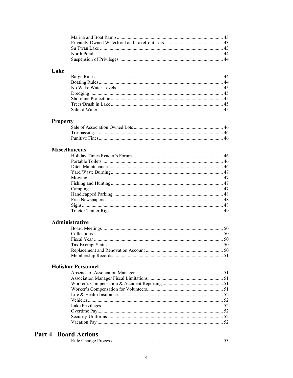# Lake

# **Property**

# **Miscellaneous**

# Administrative

# **Holishor Personnel**

# **Part 4-Board Actions**

|--|--|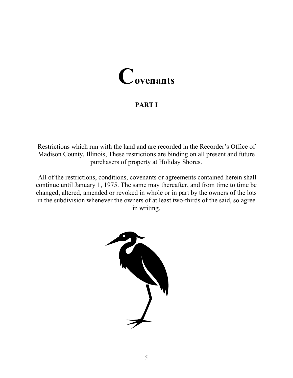# **Covenants**

# **PART I**

Restrictions which run with the land and are recorded in the Recorder's Office of Madison County, Illinois, These restrictions are binding on all present and future purchasers of property at Holiday Shores.

All of the restrictions, conditions, covenants or agreements contained herein shall continue until January 1, 1975. The same may thereafter, and from time to time be changed, altered, amended or revoked in whole or in part by the owners of the lots in the subdivision whenever the owners of at least two-thirds of the said, so agree in writing.

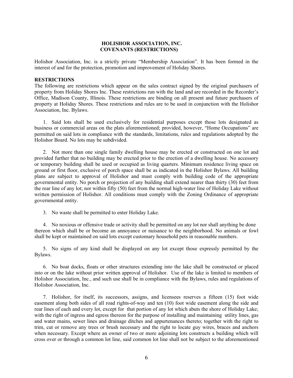#### **HOLISHOR ASSOCIATION, INC. COVENANTS (RESTRICTIONS)**

Holishor Association, Inc. is a strictly private "Membership Association". It has been formed in the interest of and for the protection, promotion and improvement of Holiday Shores.

#### **RESTRICTIONS**

The following are restrictions which appear on the sales contract signed by the original purchasers of property from Holiday Shores Inc. These restrictions run with the land and are recorded in the Recorder's Office, Madison County, Illinois. These restrictions are binding on all present and future purchasers of property at Holiday Shores. These restrictions and rules are to be used in conjunction with the Holishor Association, Inc. Bylaws.

1. Said lots shall be used exclusively for residential purposes except those lots designated as business or commercial areas on the plats aforementioned; provided, however, "Home Occupations" are permitted on said lots in compliance with the standards, limitations, rules and regulations adopted by the Holishor Board. No lots may be subdivided.

2. Not more than one single family dwelling house may be erected or constructed on one lot and provided further that no building may be erected prior to the erection of a dwelling house. No accessory or temporary building shall be used or occupied as living quarters. Minimum residence living space on ground or first floor, exclusive of porch space shall be as indicated in the Holishor Bylaws. All building plans are subject to approval of Holishor and must comply with building code of the appropriate governmental entity. No porch or projection of any building shall extend nearer than thirty (30) feet from the rear line of any lot; nor within fifty (50) feet from the normal high-water line of Holiday Lake without written permission of Holishor. All conditions must comply with the Zoning Ordinance of appropriate governmental entity.

3. No waste shall be permitted to enter Holiday Lake.

4. No noxious or offensive trade or activity shall be permitted on any lot nor shall anything be done thereon which shall be or become an annoyance or nuisance to the neighborhood. No animals or fowl shall be kept or maintained on said lots except customary household pets in reasonable numbers.

5. No signs of any kind shall be displayed on any lot except those expressly permitted by the Bylaws.

6. No boat docks, floats or other structures extending into the lake shall be constructed or placed into or on the lake without prior written approval of Holishor. Use of the lake is limited to members of Holishor Association, Inc., and such use shall be in compliance with the Bylaws, rules and regulations of Holishor Association, Inc.

7. Holishor, for itself, its successors, assigns, and licensees reserves a fifteen (15) foot wide easement along both sides of all road rights-of-way and ten (10) foot wide easement along the side and rear lines of each and every lot, except for that portion of any lot which abuts the shore of Holiday Lake; with the right of ingress and egress thereon for the purpose of installing and maintaining utility lines, gas and water mains, sewer lines and drainage ditches and appurtenances thereto; together with the right to trim, cut or remove any trees or brush necessary and the right to locate guy wires, braces and anchors when necessary. Except where an owner of two or more adjoining lots constructs a building which will cross over or through a common lot line, said common lot line shall not be subject to the aforementioned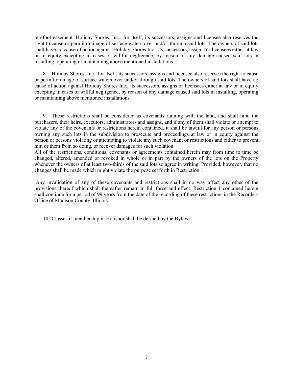ten-foot easement. Holiday Shores, Inc., for itself, its successors, assigns and licensee also reserves the right to cause or permit drainage of surface waters over and/or through said lots. The owners of said lots shall have no cause of action against Holiday Shores Inc., its successors, assigns or licensees either at law or in equity excepting in cases of willful negligence, by reason of any damage caused said lots in installing, operating or maintaining above mentioned installations.

8. Holiday Shores, Inc., for itself, its successors, assigns and licensee also reserves the right to cause or permit drainage of surface waters over and/or through said lots. The owners of said lots shall have no cause of action against Holiday Shores Inc., its successors, assigns or licensees either at law or in equity excepting in cases of willful negligence, by reason of any damage caused said lots in installing, operating or maintaining above mentioned installations.

9. These restrictions shall be considered as covenants running with the land, and shall bind the purchasers, their heirs, executors, administrators and assigns, and if any of them shall violate or attempt to violate any of the covenants or restrictions herein contained, it shall be lawful for any person or persons owning any such lots in the subdivision to prosecute and proceedings at law or in equity against the person or persons violating or attempting to violate any such covenant or restrictions and either to prevent him or them from so doing, or recover damages for such violation.

All of the restrictions, conditions, covenants or agreements contained herein may from time to time be changed, altered, amended or revoked in whole or in part by the owners of the lots on the Property whenever the owners of at least two-thirds of the said lots so agree in writing. Provided, however, that no changes shall be made which might violate the purpose set forth in Restriction 1.

Any invalidation of any of these covenants and restrictions shall in no way affect any other of the provisions thereof which shall thereafter remain in full force and effect. Restriction 1 contained herein shall continue for a period of 99 years from the date of the recording of these restrictions in the Recorders Office of Madison County, Illinois.

10. Classes if membership in Holishor shall be defined by the Bylaws.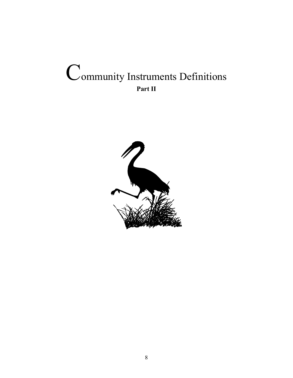# Community Instruments Definitions **Part II**

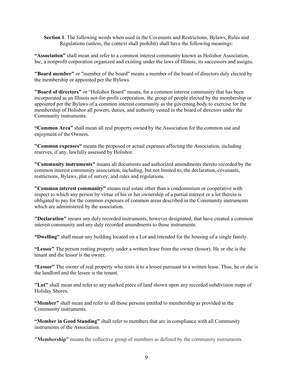**Section 1**. The following words when used in the Covenants and Restrictions, Bylaws, Rules and Regulations (unless, the context shall prohibit) shall have the following meanings:

**"Association"** shall mean and refer to a common interest community known as Holishor Association, Inc, a nonprofit corporation organized and existing under the laws of Illinois, its successors and assigns.

**"Board member"** or "member of the board" means a member of the board of directors duly elected by the membership or appointed per the Bylaws.

**"Board of directors"** or "Holishor Board" means, for a common interest community that has been incorporated as an Illinois not-for-profit corporation, the group of people elected by the membership or appointed per the Bylaws of a common interest community as the governing body to exercise for the membership of Holishor all powers, duties, and authority vested in the board of directors under the Community instruments.

**"Common Area"** shall mean all real property owned by the Association for the common use and enjoyment of the Owners.

**"Common expenses"** means the proposed or actual expenses affecting the Association, including reserves, if any, lawfully assessed by Holishor.

**"Community instruments"** means all documents and authorized amendments thereto recorded by the common interest community association, including, but not limited to, the declaration, covenants, restrictions, Bylaws, plat of survey, and rules and regulations.

**"Common interest community"** means real estate other than a condominium or cooperative with respect to which any person by virtue of his or her ownership of a partial interest or a lot therein is obligated to pay for the common expenses of common areas described in the Community instruments which are administered by the association.

**"Declaration"** means any duly recorded instruments, however designated, that have created a common interest community and any duly recorded amendments to those instruments.

**"Dwelling"** shall mean any building located on a Lot and intended for the housing of a single family.

**"Lessee"** The person renting property under a written lease from the owner (lessor). He or she is the tenant and the lessor is the owner.

**"Lessor"** The owner of real property who rents it to a lessee pursuant to a written lease. Thus, he or she is the landlord and the lessee is the tenant.

**"Lot"** shall mean and refer to any marked piece of land shown upon any recorded subdivision maps of Holiday Shores.

**"Member"** shall mean and refer to all those persons entitled to membership as provided in the Community instruments.

**"Member in Good Standing"** shall refer to members that are in compliance with all Community instruments of the Association.

**"Membership"** means the collective group of members as defined by the community instruments.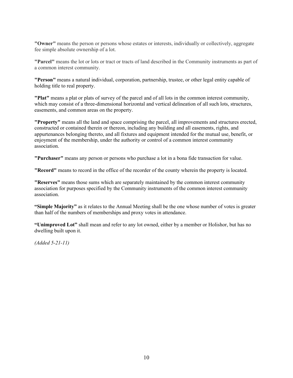**"Owner"** means the person or persons whose estates or interests, individually or collectively, aggregate fee simple absolute ownership of a lot.

**"Parcel"** means the lot or lots or tract or tracts of land described in the Community instruments as part of a common interest community.

**"Person"** means a natural individual, corporation, partnership, trustee, or other legal entity capable of holding title to real property.

**"Plat"** means a plat or plats of survey of the parcel and of all lots in the common interest community, which may consist of a three-dimensional horizontal and vertical delineation of all such lots, structures, easements, and common areas on the property.

**"Property"** means all the land and space comprising the parcel, all improvements and structures erected, constructed or contained therein or thereon, including any building and all easements, rights, and appurtenances belonging thereto, and all fixtures and equipment intended for the mutual use, benefit, or enjoyment of the membership, under the authority or control of a common interest community association.

**"Purchaser"** means any person or persons who purchase a lot in a bona fide transaction for value.

**"Record"** means to record in the office of the recorder of the county wherein the property is located.

**"Reserves"** means those sums which are separately maintained by the common interest community association for purposes specified by the Community instruments of the common interest community association.

**"Simple Majority"** as it relates to the Annual Meeting shall be the one whose number of votes is greater than half of the numbers of memberships and proxy votes in attendance.

**"Unimproved Lot"** shall mean and refer to any lot owned, either by a member or Holishor, but has no dwelling built upon it.

*(Added 5-21-11)*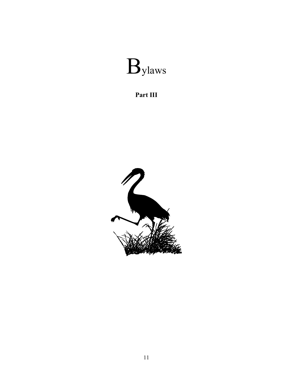

**Part III**

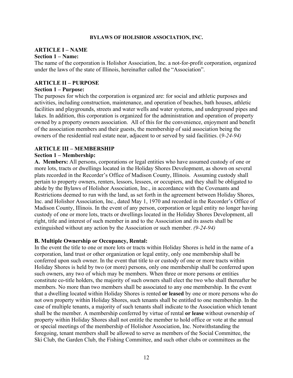#### **BYLAWS OF HOLISHOR ASSOCIATION, INC.**

# **ARTICLE I – NAME**

#### **Section 1 – Name:**

The name of the corporation is Holishor Association, Inc. a not-for-profit corporation, organized under the laws of the state of Illinois, hereinafter called the "Association".

#### **ARTICLE II – PURPOSE**

#### **Section 1 – Purpose:**

The purposes for which the corporation is organized are: for social and athletic purposes and activities, including construction, maintenance, and operation of beaches, bath houses, athletic facilities and playgrounds, streets and water wells and water systems, and underground pipes and lakes. In addition, this corporation is organized for the administration and operation of property owned by a property owners association. All of this for the convenience, enjoyment and benefit of the association members and their guests, the membership of said association being the owners of the residential real estate near, adjacent to or served by said facilities. (*9-24-94)*

#### **ARTICLE III – MEMBERSHIP**

#### **Section 1 – Membership:**

**A. Members:** All persons, corporations or legal entities who have assumed custody of one or more lots, tracts or dwellings located in the Holiday Shores Development, as shown on several plats recorded in the Recorder's Office of Madison County, Illinois. Assuming custody shall pertain to property owners, renters, lessors, lessees, or occupiers, and they shall be obligated to abide by the Bylaws of Holishor Association, Inc., in accordance with the Covenants and Restrictions deemed to run with the land, as set forth in the agreement between Holiday Shores, Inc. and Holishor Association, Inc., dated May 1, 1970 and recorded in the Recorder's Office of Madison County, Illinois. In the event of any person, corporation or legal entity no longer having custody of one or more lots, tracts or dwellings located in the Holiday Shores Development, all right, title and interest of such member in and to the Association and its assets shall be extinguished without any action by the Association or such member. *(9-24-94)*

#### **B. Multiple Ownership or Occupancy, Rental:**

In the event the title to one or more lots or tracts within Holiday Shores is held in the name of a corporation, land trust or other organization or legal entity, only one membership shall be conferred upon such owner. In the event that title to or custody of one or more tracts within Holiday Shores is held by two (or more) persons, only one membership shall be conferred upon such owners, any two of which may be members. When three or more persons or entities constitute co-title holders, the majority of such owners shall elect the two who shall thereafter be members. No more than two members shall be associated to any one membership. In the event that a dwelling located within Holiday Shores is rented **or leased** by one or more persons who do not own property within Holiday Shores, such tenants shall be entitled to one membership. In the case of multiple tenants, a majority of such tenants shall indicate to the Association which tenant shall be the member. A membership conferred by virtue of rental **or lease** without ownership of property within Holiday Shores shall not entitle the member to hold office or vote at the annual or special meetings of the membership of Holishor Association, Inc. Notwithstanding the foregoing, tenant members shall be allowed to serve as members of the Social Committee, the Ski Club, the Garden Club, the Fishing Committee, and such other clubs or committees as the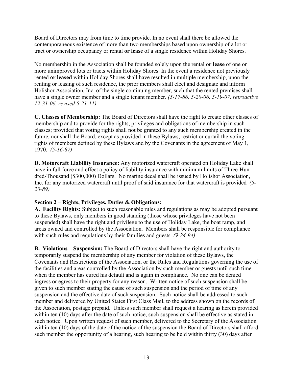Board of Directors may from time to time provide. In no event shall there be allowed the contemporaneous existence of more than two memberships based upon ownership of a lot or tract or ownership occupancy or rental **or lease** of a single residence within Holiday Shores.

No membership in the Association shall be founded solely upon the rental **or lease** of one or more unimproved lots or tracts within Holiday Shores. In the event a residence not previously rented **or leased** within Holiday Shores shall have resulted in multiple membership, upon the renting or leasing of such residence, the prior members shall elect and designate and inform Holishor Association, Inc. of the single continuing member, such that the rented premises shall have a single owner member and a single tenant member. *(5-17-86, 5-20-06, 5-19-07, retroactive 12-31-06, revised 5-21-11)*

**C. Classes of Membership:** The Board of Directors shall have the right to create other classes of membership and to provide for the rights, privileges and obligations of membership in such classes; provided that voting rights shall not be granted to any such membership created in the future, nor shall the Board, except as provided in these Bylaws, restrict or curtail the voting rights of members defined by these Bylaws and by the Covenants in the agreement of May 1, 1970. *(5-16-87)*

**D. Motorcraft Liability Insurance:** Any motorized watercraft operated on Holiday Lake shall have in full force and effect a policy of liability insurance with minimum limits of Three-Hundred-Thousand (\$300,000) Dollars. No marine decal shall be issued by Holishor Association, Inc. for any motorized watercraft until proof of said insurance for that watercraft is provided*. (5- 20-89)* 

# **Section 2 – Rights, Privileges, Duties & Obligations:**

**A. Facility Rights:** Subject to such reasonable rules and regulations as may be adopted pursuant to these Bylaws, only members in good standing (those whose privileges have not been suspended) shall have the right and privilege to the use of Holiday Lake, the boat ramp, and areas owned and controlled by the Association. Members shall be responsible for compliance with such rules and regulations by their families and guests. *(9-24-94)*

**B. Violations – Suspension:** The Board of Directors shall have the right and authority to temporarily suspend the membership of any member for violation of these Bylaws, the Covenants and Restrictions of the Association, or the Rules and Regulations governing the use of the facilities and areas controlled by the Association by such member or guests until such time when the member has cured his default and is again in compliance. No one can be denied ingress or egress to their property for any reason. Written notice of such suspension shall be given to such member stating the cause of such suspension and the period of time of any suspension and the effective date of such suspension. Such notice shall be addressed to such member and delivered by United States First Class Mail, to the address shown on the records of the Association, postage prepaid. Unless such member shall request a hearing as herein provided within ten (10) days after the date of such notice, such suspension shall be effective as stated in such notice. Upon written request of such member, delivered to the Secretary of the Association within ten (10) days of the date of the notice of the suspension the Board of Directors shall afford such member the opportunity of a hearing, such hearing to be held within thirty (30) days after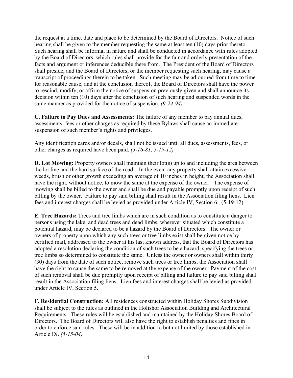the request at a time, date and place to be determined by the Board of Directors. Notice of such hearing shall be given to the member requesting the same at least ten (10) days prior thereto. Such hearing shall be informal in nature and shall be conducted in accordance with rules adopted by the Board of Directors, which rules shall provide for the fair and orderly presentation of the facts and argument or inferences deducible there from. The President of the Board of Directors shall preside, and the Board of Directors, or the member requesting such hearing, may cause a transcript of proceedings therein to be taken. Such meeting may be adjourned from time to time for reasonable cause, and at the conclusion thereof, the Board of Directors shall have the power to rescind, modify, or affirm the notice of suspension previously given and shall announce its decision within ten (10) days after the conclusion of such hearing and suspended words in the same manner as provided for the notice of suspension. *(9-24-94)* 

**C. Failure to Pay Dues and Assessments:** The failure of any member to pay annual dues, assessments, fees or other charges as required by these Bylaws shall cause an immediate suspension of such member's rights and privileges.

Any identification cards and/or decals, shall not be issued until all dues, assessments, fees, or other charges as required have been paid. *(5-16-81, 5-19-12)*

**D. Lot Mowing:** Property owners shall maintain their lot(s) up to and including the area between the lot line and the hard surface of the road. In the event any property shall attain excessive weeds, brush or other growth exceeding an average of 10 inches in height, the Association shall have the right, without notice, to mow the same at the expense of the owner. The expense of mowing shall be billed to the owner and shall be due and payable promptly upon receipt of such billing by the owner. Failure to pay said billing shall result in the Association filing liens. Lien fees and interest charges shall be levied as provided under Article IV, Section 6. (5-19-12)

**E. Tree Hazards:** Trees and tree limbs which are in such condition as to constitute a danger to persons using the lake, and dead trees and dead limbs, wherever situated which constitute a potential hazard, may be declared to be a hazard by the Board of Directors. The owner or owners of property upon which any such trees or tree limbs exist shall be given notice by certified mail, addressed to the owner at his last known address, that the Board of Directors has adopted a resolution declaring the condition of such trees to be a hazard, specifying the trees or tree limbs so determined to constitute the same. Unless the owner or owners shall within thirty (30) days from the date of such notice, remove such trees or tree limbs, the Association shall have the right to cause the same to be removed at the expense of the owner. Payment of the cost of such removal shall be due promptly upon receipt of billing and failure to pay said billing shall result in the Association filing liens. Lien fees and interest charges shall be levied as provided under Article IV, Section 5.

**F. Residential Construction:** All residences constructed within Holiday Shores Subdivision shall be subject to the rules as outlined in the Holishor Association Building and Architectural Requirements. These rules will be established and maintained by the Holiday Shores Board of Directors. The Board of Directors will also have the right to establish penalties and fines in order to enforce said rules. These will be in addition to but not limited by those established in Article IX. *(5-15-04)*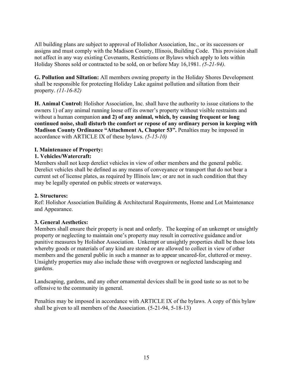All building plans are subject to approval of Holishor Association, Inc., or its successors or assigns and must comply with the Madison County, Illinois, Building Code. This provision shall not affect in any way existing Covenants, Restrictions or Bylaws which apply to lots within Holiday Shores sold or contracted to be sold, on or before May 16,1981. *(5-21-94).*

**G. Pollution and Siltation:** All members owning property in the Holiday Shores Development shall be responsible for protecting Holiday Lake against pollution and siltation from their property. *(11-16-82)*

**H. Animal Control:** Holishor Association, Inc. shall have the authority to issue citations to the owners 1) of any animal running loose off its owner's property without visible restraints and without a human companion **and 2) of any animal, which, by causing frequent or long continued noise, shall disturb the comfort or repose of any ordinary person in keeping with Madison County Ordinance "Attachment A, Chapter 53".** Penalties may be imposed in accordance with ARTICLE IX of these bylaws. *(5-15-10)*

# **I. Maintenance of Property:**

# **1. Vehicles/Watercraft:**

Members shall not keep derelict vehicles in view of other members and the general public. Derelict vehicles shall be defined as any means of conveyance or transport that do not bear a current set of license plates, as required by Illinois law; or are not in such condition that they may be legally operated on public streets or waterways.

# **2. Structures:**

Ref: Holishor Association Building & Architectural Requirements, Home and Lot Maintenance and Appearance.

# **3. General Aesthetics:**

Members shall ensure their property is neat and orderly. The keeping of an unkempt or unsightly property or neglecting to maintain one's property may result in corrective guidance and/or punitive measures by Holishor Association. Unkempt or unsightly properties shall be those lots whereby goods or materials of any kind are stored or are allowed to collect in view of other members and the general public in such a manner as to appear uncared-for, cluttered or messy. Unsightly properties may also include those with overgrown or neglected landscaping and gardens.

Landscaping, gardens, and any other ornamental devices shall be in good taste so as not to be offensive to the community in general.

Penalties may be imposed in accordance with ARTICLE IX of the bylaws. A copy of this bylaw shall be given to all members of the Association. (5-21-94, 5-18-13)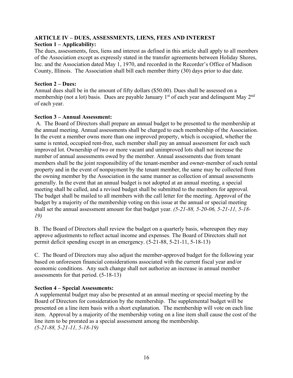#### **ARTICLE IV – DUES, ASSESSMENTS, LIENS, FEES AND INTEREST Section 1 – Applicability:**

The dues, assessments, fees, liens and interest as defined in this article shall apply to all members of the Association except as expressly stated in the transfer agreements between Holiday Shores, Inc. and the Association dated May 1, 1970, and recorded in the Recorder's Office of Madison County, Illinois. The Association shall bill each member thirty (30) days prior to due date.

#### **Section 2 – Dues:**

Annual dues shall be in the amount of fifty dollars (\$50.00). Dues shall be assessed on a membership (not a lot) basis. Dues are payable January  $1<sup>st</sup>$  of each year and delinquent May  $2<sup>nd</sup>$ of each year.

# **Section 3 – Annual Assessment:**

A. The Board of Directors shall prepare an annual budget to be presented to the membership at the annual meeting. Annual assessments shall be charged to each membership of the Association. In the event a member owns more than one improved property, which is occupied, whether the same is rented, occupied rent-free, such member shall pay an annual assessment for each such improved lot. Ownership of two or more vacant and unimproved lots shall not increase the number of annual assessments owed by the member. Annual assessments due from tenant members shall be the joint responsibility of the tenant-member and owner-member of such rental property and in the event of nonpayment by the tenant member, the same may be collected from the owning member by the Association in the same manner as collection of annual assessments generally. In the event that an annual budget is not adopted at an annual meeting, a special meeting shall be called, and a revised budget shall be submitted to the members for approval. The budget shall be mailed to all members with the call letter for the meeting. Approval of the budget by a majority of the membership voting on this issue at the annual or special meeting shall set the annual assessment amount for that budget year. *(5-21-88, 5-20-06, 5-21-11, 5-18- 19)*

B. The Board of Directors shall review the budget on a quarterly basis, whereupon they may approve adjustments to reflect actual income and expenses. The Board of Directors shall not permit deficit spending except in an emergency. (5-21-88, 5-21-11, 5-18-13)

C. The Board of Directors may also adjust the member-approved budget for the following year based on unforeseen financial considerations associated with the current fiscal year and/or economic conditions. Any such change shall not authorize an increase in annual member assessments for that period. (5-18-13)

# **Section 4 – Special Assessments:**

A supplemental budget may also be presented at an annual meeting or special meeting by the Board of Directors for consideration by the membership. The supplemental budget will be presented on a line item basis with a short explanation. The membership will vote on each line item. Approval by a majority of the membership voting on a line item shall cause the cost of the line item to be prorated as a special assessment among the membership. *(5-21-88, 5-21-11, 5-18-19)*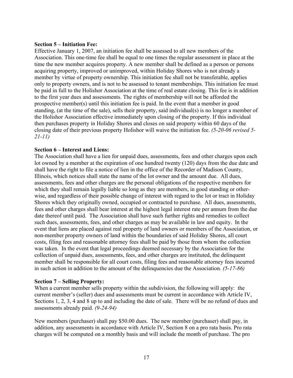#### **Section 5 – Initiation Fee:**

Effective January 1, 2007, an initiation fee shall be assessed to all new members of the Association. This one-time fee shall be equal to one times the regular assessment in place at the time the new member acquires property. A new member shall be defined as a person or persons acquiring property, improved or unimproved, within Holiday Shores who is not already a member by virtue of property ownership. This initiation fee shall not be transferable, applies only to property owners, and is not to be assessed to tenant memberships. This initiation fee must be paid in full to the Holishor Association at the time of real estate closing. This fee is in addition to the first year dues and assessments. The rights of membership will not be afforded the prospective member(s) until this initiation fee is paid. In the event that a member in good standing, (at the time of the sale), sells their property, said individual(s) is no longer a member of the Holishor Association effective immediately upon closing of the property. If this individual then purchases property in Holiday Shores and closes on said property within 60 days of the closing date of their previous property Holishor will waive the initiation fee. *(5-20-06 revised 5- 21-11)*

#### **Section 6 – Interest and Liens:**

The Association shall have a lien for unpaid dues, assessments, fees and other charges upon each lot owned by a member at the expiration of one hundred twenty (120) days from the due date and shall have the right to file a notice of lien in the office of the Recorder of Madison County, Illinois, which notices shall state the name of the lot owner and the amount due. All dues, assessments, fees and other charges are the personal obligations of the respective members for which they shall remain legally liable so long as they are members, in good standing or otherwise, and regardless of their possible change of interest with regard to the lot or tract in Holiday Shores which they originally owned, occupied or contracted to purchase. All dues, assessments, fees and other charges shall bear interest at the highest legal interest rate per annum from the due date thereof until paid. The Association shall have such further rights and remedies to collect such dues, assessments, fees, and other charges as may be available in law and equity. In the event that liens are placed against real property of land owners or members of the Association, or non-member property owners of land within the boundaries of said Holiday Shores, all court costs, filing fees and reasonable attorney fees shall be paid by those from whom the collection was taken. In the event that legal proceedings deemed necessary by the Association for the collection of unpaid dues, assessments, fees, and other charges are instituted, the delinquent member shall be responsible for all court costs, filing fees and reasonable attorney fees incurred in such action in addition to the amount of the delinquencies due the Association*. (5-17-86)*

#### **Section 7 – Selling Property:**

When a current member sells property within the subdivision, the following will apply: the current member's (seller) dues and assessments must be current in accordance with Article IV, Sections 1, 2, 3, 4 and 8 up to and including the date of sale. There will be no refund of dues and assessments already paid. *(9-24-94)*

New members (purchaser) shall pay \$50.00 dues. The new member (purchaser) shall pay, in addition, any assessments in accordance with Article IV, Section 8 on a pro rata basis. Pro rata charges will be computed on a monthly basis and will include the month of purchase. The pro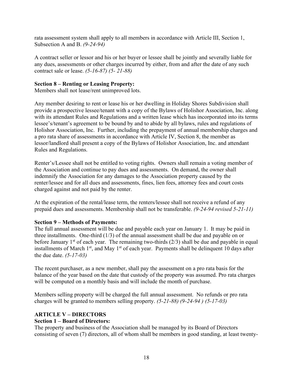rata assessment system shall apply to all members in accordance with Article III, Section 1, Subsection A and B. *(9-24-94)*

A contract seller or lessor and his or her buyer or lessee shall be jointly and severally liable for any dues, assessments or other charges incurred by either, from and after the date of any such contract sale or lease. *(5-16-87) (5- 21-88)*

#### **Section 8 – Renting or Leasing Property:**

Members shall not lease/rent unimproved lots.

Any member desiring to rent or lease his or her dwelling in Holiday Shores Subdivision shall provide a prospective lessee/tenant with a copy of the Bylaws of Holishor Association, Inc. along with its attendant Rules and Regulations and a written lease which has incorporated into its terms lessee's/tenant's agreement to be bound by and to abide by all bylaws, rules and regulations of Holishor Association, Inc. Further, including the prepayment of annual membership charges and a pro rata share of assessments in accordance with Article IV, Section 8, the member as lessor/landlord shall present a copy of the Bylaws of Holishor Association, Inc. and attendant Rules and Regulations.

Renter's/Lessee shall not be entitled to voting rights. Owners shall remain a voting member of the Association and continue to pay dues and assessments. On demand, the owner shall indemnify the Association for any damages to the Association property caused by the renter/lessee and for all dues and assessments, fines, lien fees, attorney fees and court costs charged against and not paid by the renter.

At the expiration of the rental/lease term, the renters/lessee shall not receive a refund of any prepaid dues and assessments. Membership shall not be transferable. *(9-24-94 revised 5-21-11)*

#### **Section 9 – Methods of Payments:**

The full annual assessment will be due and payable each year on January 1. It may be paid in three installments. One-third (1/3) of the annual assessment shall be due and payable on or before January  $1<sup>st</sup>$  of each year. The remaining two-thirds (2/3) shall be due and payable in equal installments of March  $1<sup>st</sup>$ , and May  $1<sup>st</sup>$  of each year. Payments shall be delinquent 10 days after the due date. *(5-17-03)*

The recent purchaser, as a new member, shall pay the assessment on a pro rata basis for the balance of the year based on the date that custody of the property was assumed. Pro rata charges will be computed on a monthly basis and will include the month of purchase.

Members selling property will be charged the full annual assessment. No refunds or pro rata charges will be granted to members selling property. *(5-21-88) (9-24-94 ) (5-17-03)*

# **ARTICLE V – DIRECTORS**

#### **Section 1 – Board of Directors:**

The property and business of the Association shall be managed by its Board of Directors consisting of seven (7) directors, all of whom shall be members in good standing, at least twenty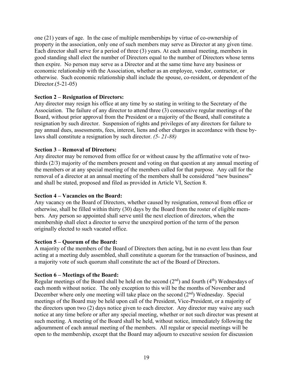one (21) years of age. In the case of multiple memberships by virtue of co-ownership of property in the association, only one of such members may serve as Director at any given time. Each director shall serve for a period of three (3) years. At each annual meeting, members in good standing shall elect the number of Directors equal to the number of Directors whose terms then expire. No person may serve as a Director and at the same time have any business or economic relationship with the Association, whether as an employee, vendor, contractor, or otherwise. Such economic relationship shall include the spouse, co-resident, or dependent of the Director.(5-21-05)

#### **Section 2 – Resignation of Directors:**

Any director may resign his office at any time by so stating in writing to the Secretary of the Association. The failure of any director to attend three (3) consecutive regular meetings of the Board, without prior approval from the President or a majority of the Board, shall constitute a resignation by such director. Suspension of rights and privileges of any directors for failure to pay annual dues, assessments, fees, interest, liens and other charges in accordance with these bylaws shall constitute a resignation by such director. *(5- 21-88)*

#### **Section 3 – Removal of Directors:**

Any director may be removed from office for or without cause by the affirmative vote of twothirds (2/3) majority of the members present and voting on that question at any annual meeting of the members or at any special meeting of the members called for that purpose. Any call for the removal of a director at an annual meeting of the members shall be considered "new business" and shall be stated, proposed and filed as provided in Article VI, Section 8.

#### **Section 4 – Vacancies on the Board:**

Any vacancy on the Board of Directors, whether caused by resignation, removal from office or otherwise, shall be filled within thirty (30) days by the Board from the roster of eligible members. Any person so appointed shall serve until the next election of directors, when the membership shall elect a director to serve the unexpired portion of the term of the person originally elected to such vacated office.

#### **Section 5 – Quorum of the Board:**

A majority of the members of the Board of Directors then acting, but in no event less than four acting at a meeting duly assembled, shall constitute a quorum for the transaction of business, and a majority vote of such quorum shall constitute the act of the Board of Directors.

#### **Section 6 – Meetings of the Board:**

Regular meetings of the Board shall be held on the second  $(2^{nd})$  and fourth  $(4^{th})$  Wednesdays of each month without notice. The only exception to this will be the months of November and December where only one meeting will take place on the second  $(2<sup>nd</sup>)$  Wednesday. Special meetings of the Board may be held upon call of the President, Vice-President, or a majority of the directors upon two (2) days notice given to each director. Any director may waive any such notice at any time before or after any special meeting, whether or not such director was present at such meeting. A meeting of the Board shall be held, without notice, immediately following the adjournment of each annual meeting of the members. All regular or special meetings will be open to the membership, except that the Board may adjourn to executive session for discussion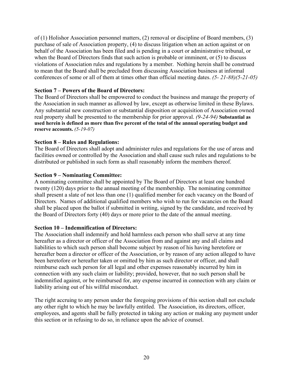of (1) Holishor Association personnel matters, (2) removal or discipline of Board members, (3) purchase of sale of Association property, (4) to discuss litigation when an action against or on behalf of the Association has been filed and is pending in a court or administrative tribunal, or when the Board of Directors finds that such action is probable or imminent, or (5) to discuss violations of Association rules and regulations by a member. Nothing herein shall be construed to mean that the Board shall be precluded from discussing Association business at informal conferences of some or all of them at times other than official meeting dates. *(5- 21-88)(5-21-05)*

# **Section 7 – Powers of the Board of Directors:**

The Board of Directors shall be empowered to conduct the business and manage the property of the Association in such manner as allowed by law, except as otherwise limited in these Bylaws. Any substantial new construction or substantial disposition or acquisition of Association owned real property shall be presented to the membership for prior approval. *(9-24-94)* **Substantial as used herein is defined as more than five percent of the total of the annual operating budget and reserve accounts.** *(5-19-07)*

# **Section 8 – Rules and Regulations:**

The Board of Directors shall adopt and administer rules and regulations for the use of areas and facilities owned or controlled by the Association and shall cause such rules and regulations to be distributed or published in such form as shall reasonably inform the members thereof.

# **Section 9 – Nominating Committee:**

A nominating committee shall be appointed by The Board of Directors at least one hundred twenty (120) days prior to the annual meeting of the membership. The nominating committee shall present a slate of not less than one (1) qualified member for each vacancy on the Board of Directors. Names of additional qualified members who wish to run for vacancies on the Board shall be placed upon the ballot if submitted in writing, signed by the candidate, and received by the Board of Directors forty (40) days or more prior to the date of the annual meeting.

# **Section 10 – Indemnification of Directors:**

The Association shall indemnify and hold harmless each person who shall serve at any time hereafter as a director or officer of the Association from and against any and all claims and liabilities to which such person shall become subject by reason of his having heretofore or hereafter been a director or officer of the Association, or by reason of any action alleged to have been heretofore or hereafter taken or omitted by him as such director or officer, and shall reimburse each such person for all legal and other expenses reasonably incurred by him in connection with any such claim or liability; provided, however, that no such person shall be indemnified against, or be reimbursed for, any expense incurred in connection with any claim or liability arising out of his willful misconduct.

The right accruing to any person under the foregoing provisions of this section shall not exclude any other right to which he may be lawfully entitled. The Association, its directors, officer, employees, and agents shall be fully protected in taking any action or making any payment under this section or in refusing to do so, in reliance upon the advice of counsel.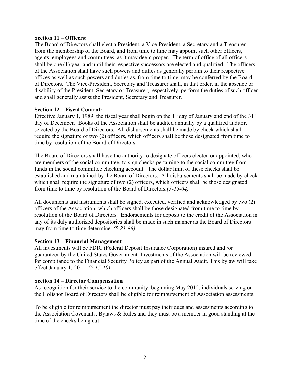#### **Section 11 – Officers:**

The Board of Directors shall elect a President, a Vice-President, a Secretary and a Treasurer from the membership of the Board, and from time to time may appoint such other officers, agents, employees and committees, as it may deem proper. The term of office of all officers shall be one (1) year and until their respective successors are elected and qualified. The officers of the Association shall have such powers and duties as generally pertain to their respective offices as well as such powers and duties as, from time to time, may be conferred by the Board of Directors. The Vice-President, Secretary and Treasurer shall, in that order, in the absence or disability of the President, Secretary or Treasurer, respectively, perform the duties of such officer and shall generally assist the President, Secretary and Treasurer.

#### **Section 12 – Fiscal Control:**

Effective January 1, 1989, the fiscal year shall begin on the  $1<sup>st</sup>$  day of January and end of the  $31<sup>st</sup>$ day of December. Books of the Association shall be audited annually by a qualified auditor, selected by the Board of Directors. All disbursements shall be made by check which shall require the signature of two (2) officers, which officers shall be those designated from time to time by resolution of the Board of Directors.

The Board of Directors shall have the authority to designate officers elected or appointed, who are members of the social committee, to sign checks pertaining to the social committee from funds in the social committee checking account. The dollar limit of these checks shall be established and maintained by the Board of Directors. All disbursements shall be made by check which shall require the signature of two (2) officers, which officers shall be those designated from time to time by resolution of the Board of Directors*.(5-15-04)*

All documents and instruments shall be signed, executed, verified and acknowledged by two (2) officers of the Association, which officers shall be those designated from time to time by resolution of the Board of Directors. Endorsements for deposit to the credit of the Association in any of its duly authorized depositories shall be made in such manner as the Board of Directors may from time to time determine. *(5-21-88)*

#### **Section 13 – Financial Management**

All investments will be FDIC (Federal Deposit Insurance Corporation) insured and /or guaranteed by the United States Government. Investments of the Association will be reviewed for compliance to the Financial Security Policy as part of the Annual Audit. This bylaw will take effect January 1, 2011. *(5-15-10)*

#### **Section 14 – Director Compensation**

As recognition for their service to the community, beginning May 2012, individuals serving on the Holishor Board of Directors shall be eligible for reimbursement of Association assessments.

To be eligible for reimbursement the director must pay their dues and assessments according to the Association Covenants, Bylaws & Rules and they must be a member in good standing at the time of the checks being cut.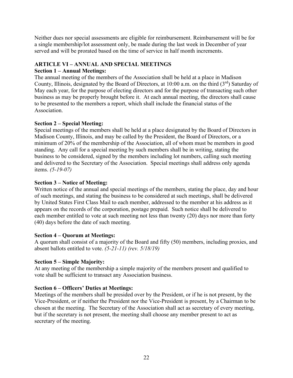Neither dues nor special assessments are eligible for reimbursement. Reimbursement will be for a single membership/lot assessment only, be made during the last week in December of year served and will be prorated based on the time of service in half month increments.

# **ARTICLE VI – ANNUAL AND SPECIAL MEETINGS**

# **Section 1 – Annual Meetings:**

The annual meeting of the members of the Association shall be held at a place in Madison County, Illinois, designated by the Board of Directors, at 10:00 a.m. on the third  $(3<sup>rd</sup>)$  Saturday of May each year, for the purpose of electing directors and for the purpose of transacting such other business as may be properly brought before it. At each annual meeting, the directors shall cause to be presented to the members a report, which shall include the financial status of the Association.

# **Section 2 – Special Meeting:**

Special meetings of the members shall be held at a place designated by the Board of Directors in Madison County, Illinois, and may be called by the President, the Board of Directors, or a minimum of 20% of the membership of the Association, all of whom must be members in good standing.Any call for a special meeting by such members shall be in writing, stating the business to be considered, signed by the members including lot numbers, calling such meeting and delivered to the Secretary of the Association. Special meetings shall address only agenda items. *(5-19-07)*

# **Section 3 – Notice of Meeting:**

Written notice of the annual and special meetings of the members, stating the place, day and hour of such meetings, and stating the business to be considered at such meetings, shall be delivered by United States First Class Mail to each member, addressed to the member at his address as it appears on the records of the corporation, postage prepaid. Such notice shall be delivered to each member entitled to vote at such meeting not less than twenty (20) days nor more than forty (40) days before the date of such meeting.

# **Section 4 – Quorum at Meetings:**

A quorum shall consist of a majority of the Board and fifty (50) members, including proxies, and absent ballots entitled to vote. *(5-21-11) (rev. 5/18/19)*

# **Section 5 – Simple Majority:**

At any meeting of the membership a simple majority of the members present and qualified to vote shall be sufficient to transact any Association business.

# **Section 6 – Officers' Duties at Meetings:**

Meetings of the members shall be presided over by the President, or if he is not present, by the Vice-President, or if neither the President nor the Vice-President is present, by a Chairman to be chosen at the meeting. The Secretary of the Association shall act as secretary of every meeting, but if the secretary is not present, the meeting shall choose any member present to act as secretary of the meeting.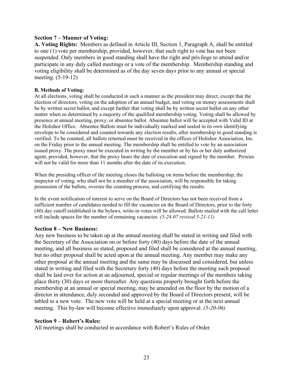#### **Section 7 – Manner of Voting:**

**A. Voting Rights:** Members as defined in Article III, Section 1, Paragraph A, shall be entitled to one (1) vote per membership, provided, however, that such right to vote has not been suspended. Only members in good standing shall have the right and privilege to attend and/or participate in any duly called meetings or a vote of the membership. Membership standing and voting eligibility shall be determined as of the day seven days prior to any annual or special meeting. (5-19-12)

#### **B. Methods of Voting:**

At all elections, voting shall be conducted in such a manner as the president may direct, except that the election of directors, voting on the adoption of an annual budget, and voting on money assessments shall be by written secret ballot, and except further that voting shall be by written secret ballot on any other matter when so determined by a majority of the qualified membership voting. Voting shall be allowed by presence at annual meeting, proxy, or absentee ballot. Absentee ballot will be accepted with Valid ID at the Holishor Office. Absentee Ballots must be individually marked and sealed in its own identifying envelope to be considered and counted towards any election results, after membership in good standing is verified. To be counted, all ballots returned must be received in the offices of Holishor Association, Inc. on the Friday prior to the annual meeting. The membership shall be entitled to vote by an association issued proxy. The proxy must be executed in writing by the member or by his or her duly authorized agent, provided, however, that the proxy bears the date of execution and signed by the member. Proxies will not be valid for more than 11 months after the date of its execution.

When the presiding officer of the meeting closes the balloting on items before the membership, the inspector of voting, who shall not be a member of the association, will be responsible for taking possession of the ballots, oversee the counting process, and certifying the results.

In the event notification of interest to serve on the Board of Directors has not been received from a sufficient number of candidates needed to fill the vacancies on the Board of Directors, prior to the forty (40) day cutoff established in the bylaws, write-in votes will be allowed. Ballots mailed with the call letter will include spaces for the number of remaining vacancies. *(5-24-07 revised 5-21-11)*

#### **Section 8 – New Business:**

Any new business to be taken up at the annual meeting shall be stated in writing and filed with the Secretary of the Association on or before forty (40) days before the date of the annual meeting, and all business so stated, proposed and filed shall be considered at the annual meeting, but no other proposal shall be acted upon at the annual meeting. Any member may make any other proposal at the annual meeting and the same may be discussed and considered, but unless stated in writing and filed with the Secretary forty (40) days before the meeting such proposal shall be laid over for action at an adjourned, special or regular meetings of the members taking place thirty (30) days or more thereafter. Any questions properly brought forth before the membership at an annual or special meeting, may be amended on the floor by the motion of a director in attendance, duly seconded and approved by the Board of Directors present, will be tabled to a new vote. The new vote will be held at a special meeting or at the next annual meeting. This by-law will become effective immediately upon approval. *(5-20-06)*

#### **Section 9 – Robert's Rules:**

All meetings shall be conducted in accordance with Robert's Rules of Order.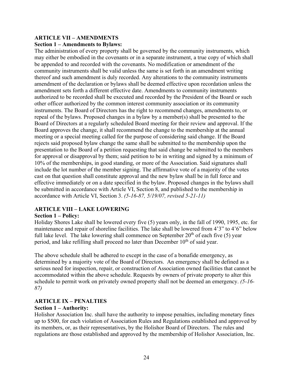#### **ARTICLE VII – AMENDMENTS Section 1 – Amendments to Bylaws:**

The administration of every property shall be governed by the community instruments, which may either be embodied in the covenants or in a separate instrument, a true copy of which shall be appended to and recorded with the covenants. No modification or amendment of the community instruments shall be valid unless the same is set forth in an amendment writing thereof and such amendment is duly recorded. Any alterations to the community instruments amendment of the declaration or bylaws shall be deemed effective upon recordation unless the amendment sets forth a different effective date. Amendments to community instruments authorized to be recorded shall be executed and recorded by the President of the Board or such other officer authorized by the common interest community association or its community instruments. The Board of Directors has the right to recommend changes, amendments to, or repeal of the bylaws. Proposed changes in a bylaw by a member(s) shall be presented to the Board of Directors at a regularly scheduled Board meeting for their review and approval. If the Board approves the change, it shall recommend the change to the membership at the annual meeting or a special meeting called for the purpose of considering said change. If the Board rejects said proposed bylaw change the same shall be submitted to the membership upon the presentation to the Board of a petition requesting that said change be submitted to the members for approval or disapproval by them; said petition to be in writing and signed by a minimum of 10% of the memberships, in good standing, or more of the Association. Said signatures shall include the lot number of the member signing. The affirmative vote of a majority of the votes cast on that question shall constitute approval and the new bylaw shall be in full force and effective immediately or on a date specified in the bylaw. Proposed changes in the bylaws shall be submitted in accordance with Article VI, Section 8, and published to the membership in accordance with Article VI, Section 3. *(5-16-87, 5/19/07, revised 5-21-11)*

# **ARTICLE VIII – LAKE LOWERING**

# **Section 1 – Policy:**

Holiday Shores Lake shall be lowered every five (5) years only, in the fall of 1990, 1995, etc. for maintenance and repair of shoreline facilities. The lake shall be lowered from 4'3" to 4'6" below full lake level. The lake lowering shall commence on September  $20<sup>th</sup>$  of each five (5) year period, and lake refilling shall proceed no later than December  $10<sup>th</sup>$  of said year.

The above schedule shall be adhered to except in the case of a bonafide emergency, as determined by a majority vote of the Board of Directors. An emergency shall be defined as a serious need for inspection, repair, or construction of Association owned facilities that cannot be accommodated within the above schedule. Requests by owners of private property to alter this schedule to permit work on privately owned property shall not be deemed an emergency. *(5-16- 87)*

# **ARTICLE IX – PENALTIES**

# **Section 1 – Authority:**

Holishor Association Inc. shall have the authority to impose penalties, including monetary fines up to \$500, for each violation of Association Rules and Regulations established and approved by its members, or, as their representatives, by the Holishor Board of Directors. The rules and regulations are those established and approved by the membership of Holishor Association, Inc.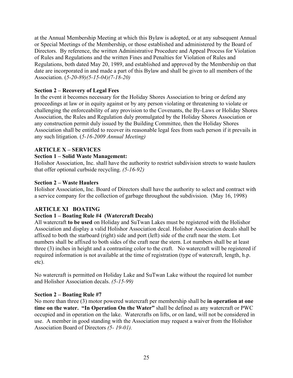at the Annual Membership Meeting at which this Bylaw is adopted, or at any subsequent Annual or Special Meetings of the Membership, or those established and administered by the Board of Directors. By reference, the written Administrative Procedure and Appeal Process for Violation of Rules and Regulations and the written Fines and Penalties for Violation of Rules and Regulations, both dated May 20, 1989, and established and approved by the Membership on that date are incorporated in and made a part of this Bylaw and shall be given to all members of the Association. (*5-20-89)(5-15-04)(7-18-20)*

# **Section 2 – Recovery of Legal Fees**

In the event it becomes necessary for the Holiday Shores Association to bring or defend any proceedings at law or in equity against or by any person violating or threatening to violate or challenging the enforceability of any provision to the Covenants, the By-Laws or Holiday Shores Association, the Rules and Regulation duly promulgated by the Holiday Shores Association or any construction permit duly issued by the Building Committee, then the Holiday Shores Association shall be entitled to recover its reasonable legal fees from such person if it prevails in any such litigation. (*5-16-2009 Annual Meeting)*

# **ARTICLE X – SERVICES**

# **Section 1 – Solid Waste Management:**

Holishor Association, Inc. shall have the authority to restrict subdivision streets to waste haulers that offer optional curbside recycling. *(5-16-92)*

# **Section 2 – Waste Haulers**

Holishor Association, Inc. Board of Directors shall have the authority to select and contract with a service company for the collection of garbage throughout the subdivision. (May 16, 1998)

# **ARTICLE XI BOATING**

# **Section 1 – Boating Rule #4 (Watercraft Decals)**

All watercraft **to be used** on Holiday and SuTwan Lakes must be registered with the Holishor Association and display a valid Holishor Association decal. Holishor Association decals shall be affixed to both the starboard (right) side and port (left) side of the craft near the stern. Lot numbers shall be affixed to both sides of the craft near the stern. Lot numbers shall be at least three (3) inches in height and a contrasting color to the craft. No watercraft will be registered if required information is not available at the time of registration (type of watercraft, length, h.p. etc).

No watercraft is permitted on Holiday Lake and SuTwan Lake without the required lot number and Holishor Association decals. *(5-15-99)*

# **Section 2 – Boating Rule #7**

No more than three (3) motor powered watercraft per membership shall be **in operation at one time on the water. "In Operation On the Water"** shall be defined as any watercraft or PWC occupied and in operation on the lake. Watercrafts on lifts, or on land, will not be considered in use. A member in good standing with the Association may request a waiver from the Holishor Association Board of Directors *(5- 19-01).*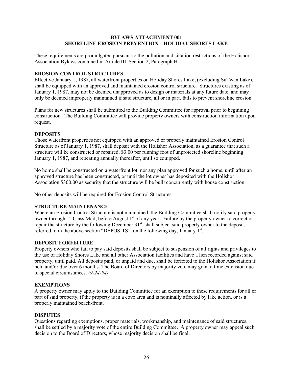#### **BYLAWS ATTACHMENT 001 SHORELINE EROSION PREVENTION – HOLIDAY SHORES LAKE**

These requirements are promulgated pursuant to the pollution and siltation restrictions of the Holishor Association Bylaws contained in Article III, Section 2, Paragraph H.

#### **EROSION CONTROL STRUCTURES**

Effective January 1, 1987, all waterfront properties on Holiday Shores Lake, (excluding SuTwan Lake), shall be equipped with an approved and maintained erosion control structure. Structures existing as of January 1, 1987, may not be deemed unapproved as to design or materials at any future date, and may only be deemed improperly maintained if said structure, all or in part, fails to prevent shoreline erosion.

Plans for new structures shall be submitted to the Building Committee for approval prior to beginning construction. The Building Committee will provide property owners with construction information upon request.

#### **DEPOSITS**

Those waterfront properties not equipped with an approved or properly maintained Erosion Control Structure as of January 1, 1987, shall deposit with the Holishor Association, as a guarantee that such a structure will be constructed or repaired, \$3.00 per running foot of unprotected shoreline beginning January 1, 1987, and repeating annually thereafter, until so equipped.

No home shall be constructed on a waterfront lot, nor any plan approved for such a home, until after an approved structure has been constructed, or until the lot owner has deposited with the Holishor Association \$300.00 as security that the structure will be built concurrently with house construction.

No other deposits will be required for Erosion Control Structures.

#### **STRUCTURE MAINTENANCE**

Where an Erosion Control Structure is not maintained, the Building Committee shall notify said property owner through 1<sup>st</sup> Class Mail, before August 1<sup>st</sup> of any year. Failure by the property owner to correct or repair the structure by the following December 31<sup>st</sup>, shall subject said property owner to the deposit, referred to in the above section "DEPOSITS", on the following day, January 1st.

#### **DEPOSIT FORFEITURE**

Property owners who fail to pay said deposits shall be subject to suspension of all rights and privileges to the use of Holiday Shores Lake and all other Association facilities and have a lien recorded against said property, until paid. All deposits paid, or unpaid and due, shall be forfeited to the Holishor Association if held and/or due over 6 months. The Board of Directors by majority vote may grant a time extension due to special circumstances. *(9-24-94)*

#### **EXEMPTIONS**

A property owner may apply to the Building Committee for an exemption to these requirements for all or part of said property, if the property is in a cove area and is nominally affected by lake action, or is a properly maintained beach-front.

#### **DISPUTES**

Questions regarding exemptions, proper materials, workmanship, and maintenance of said structures, shall be settled by a majority vote of the entire Building Committee. A property owner may appeal such decision to the Board of Directors, whose majority decision shall be final.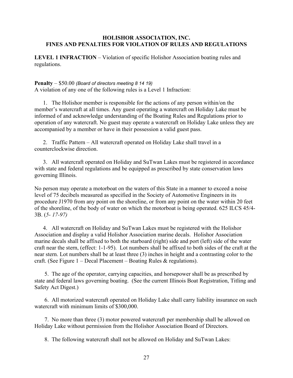#### **HOLISHOR ASSOCIATION, INC. FINES AND PENALTIES FOR VIOLATION OF RULES AND REGULATIONS**

**LEVEL 1 INFRACTION** – Violation of specific Holishor Association boating rules and regulations.

#### **Penalty** – \$50.00 *(Board of directors meeting 8 14 19)*

A violation of any one of the following rules is a Level 1 Infraction:

1. The Holishor member is responsible for the actions of any person within/on the member's watercraft at all times. Any guest operating a watercraft on Holiday Lake must be informed of and acknowledge understanding of the Boating Rules and Regulations prior to operation of any watercraft. No guest may operate a watercraft on Holiday Lake unless they are accompanied by a member or have in their possession a valid guest pass.

2. Traffic Pattern – All watercraft operated on Holiday Lake shall travel in a counterclockwise direction.

3. All watercraft operated on Holiday and SuTwan Lakes must be registered in accordance with state and federal regulations and be equipped as prescribed by state conservation laws governing Illinois.

No person may operate a motorboat on the waters of this State in a manner to exceed a noise level of 75 decibels measured as specified in the Society of Automotive Engineers in its procedure J1970 from any point on the shoreline, or from any point on the water within 20 feet of the shoreline, of the body of water on which the motorboat is being operated. 625 ILCS 45/4- 3B. (*5- 17-97)*

4. All watercraft on Holiday and SuTwan Lakes must be registered with the Holishor Association and display a valid Holishor Association marine decals. Holishor Association marine decals shall be affixed to both the starboard (right) side and port (left) side of the water craft near the stern, (effect: 1-1-95). Lot numbers shall be affixed to both sides of the craft at the near stern. Lot numbers shall be at least three (3) inches in height and a contrasting color to the craft. (See Figure  $1 - \text{Dead}$  Placement – Boating Rules & regulations).

5. The age of the operator, carrying capacities, and horsepower shall be as prescribed by state and federal laws governing boating. (See the current Illinois Boat Registration, Titling and Safety Act Digest.)

6. All motorized watercraft operated on Holiday Lake shall carry liability insurance on such watercraft with minimum limits of \$300,000.

7. No more than three (3) motor powered watercraft per membership shall be allowed on Holiday Lake without permission from the Holishor Association Board of Directors.

8. The following watercraft shall not be allowed on Holiday and SuTwan Lakes: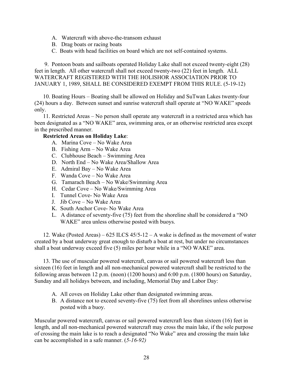- A. Watercraft with above-the-transom exhaust
- B. Drag boats or racing boats
- C. Boats with head facilities on board which are not self-contained systems.

9. Pontoon boats and sailboats operated Holiday Lake shall not exceed twenty-eight (28) feet in length. All other watercraft shall not exceed twenty-two (22) feet in length. ALL WATERCRAFT REGISTERED WITH THE HOLISHOR ASSOCIATION PRIOR TO JANUARY 1, 1989, SHALL BE CONSIDERED EXEMPT FROM THIS RULE. (5-19-12)

10. Boating Hours – Boating shall be allowed on Holiday and SuTwan Lakes twenty-four (24) hours a day. Between sunset and sunrise watercraft shall operate at "NO WAKE" speeds only.

11. Restricted Areas – No person shall operate any watercraft in a restricted area which has been designated as a "NO WAKE" area, swimming area, or an otherwise restricted area except in the prescribed manner.

# **Restricted Areas on Holiday Lake**:

- A. Marina Cove No Wake Area
- B. Fishing Arm No Wake Area
- C. Clubhouse Beach Swimming Area
- D. North End No Wake Area/Shallow Area
- E. Admiral Bay No Wake Area
- F. Wanda Cove No Wake Area
- G. Tamarach Beach No Wake/Swimming Area
- H. Cedar Cove No Wake/Swimming Area
- I. Tunnel Cove- No Wake Area
- J. Jib Cove No Wake Area
- K. South Anchor Cove- No Wake Area
- L. A distance of seventy-five (75) feet from the shoreline shall be considered a "NO WAKE" area unless otherwise posted with buoys.

12. Wake (Posted Areas) – 625 ILCS  $45/5$ -12 – A wake is defined as the movement of water created by a boat underway great enough to disturb a boat at rest, but under no circumstances shall a boat underway exceed five (5) miles per hour while in a "NO WAKE" area.

13. The use of muscular powered watercraft, canvas or sail powered watercraft less than sixteen (16) feet in length and all non-mechanical powered watercraft shall be restricted to the following areas between 12 p.m. (noon) (1200 hours) and 6:00 p.m. (1800 hours) on Saturday, Sunday and all holidays between, and including, Memorial Day and Labor Day:

- A. All coves on Holiday Lake other than designated swimming areas.
- B. A distance not to exceed seventy-five (75) feet from all shorelines unless otherwise posted with a buoy.

Muscular powered watercraft, canvas or sail powered watercraft less than sixteen (16) feet in length, and all non-mechanical powered watercraft may cross the main lake, if the sole purpose of crossing the main lake is to reach a designated "No Wake" area and crossing the main lake can be accomplished in a safe manner. (*5-16-92)*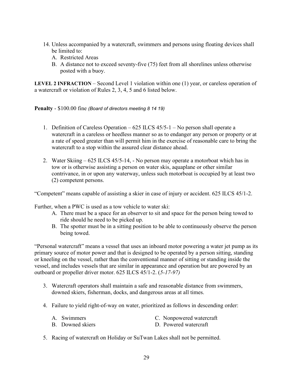- 14. Unless accompanied by a watercraft, swimmers and persons using floating devices shall be limited to:
	- A. Restricted Areas
	- B. A distance not to exceed seventy-five (75) feet from all shorelines unless otherwise posted with a buoy.

**LEVEL 2 INFRACTION** – Second Level 1 violation within one (1) year, or careless operation of a watercraft or violation of Rules 2, 3, 4, 5 and 6 listed below.

**Penalty** - \$100.00 fine *(Board of directors meeting 8 14 19)*

- 1. Definition of Careless Operation 625 ILCS 45/5-1 No person shall operate a watercraft in a careless or heedless manner so as to endanger any person or property or at a rate of speed greater than will permit him in the exercise of reasonable care to bring the watercraft to a stop within the assured clear distance ahead.
- 2. Water Skiing 625 ILCS 45/5-14, No person may operate a motorboat which has in tow or is otherwise assisting a person on water skis, aquaplane or other similar contrivance, in or upon any waterway, unless such motorboat is occupied by at least two (2) competent persons.

"Competent" means capable of assisting a skier in case of injury or accident. 625 ILCS 45/1-2.

Further, when a PWC is used as a tow vehicle to water ski:

- A. There must be a space for an observer to sit and space for the person being towed to ride should he need to be picked up.
- B. The spotter must be in a sitting position to be able to continuously observe the person being towed.

"Personal watercraft" means a vessel that uses an inboard motor powering a water jet pump as its primary source of motor power and that is designed to be operated by a person sitting, standing or kneeling on the vessel, rather than the conventional manner of sitting or standing inside the vessel, and includes vessels that are similar in appearance and operation but are powered by an outboard or propeller driver motor. 625 ILCS 45/1-2. (*5-17-97)*

- 3. Watercraft operators shall maintain a safe and reasonable distance from swimmers, downed skiers, fisherman, docks, and dangerous areas at all times.
- 4. Failure to yield right-of-way on water, prioritized as follows in descending order:

| A. Swimmers      | C. Nonpowered watercraft |
|------------------|--------------------------|
| B. Downed skiers | D. Powered watercraft    |

5. Racing of watercraft on Holiday or SuTwan Lakes shall not be permitted.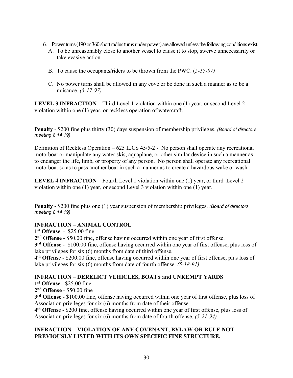- 6. Power turns (190 or 360 short radius turns under power) are allowed unless the following conditions exist.
	- A. To be unreasonably close to another vessel to cause it to stop, swerve unnecessarily or take evasive action.
	- B. To cause the occupants/riders to be thrown from the PWC. (*5-17-97)*
	- C. No power turns shall be allowed in any cove or be done in such a manner as to be a nuisance. *(5-17-97)*

**LEVEL 3 INFRACTION** – Third Level 1 violation within one (1) year, or second Level 2 violation within one (1) year, or reckless operation of watercraft.

**Penalty** - \$200 fine plus thirty (30) days suspension of membership privileges. *(Board of directors meeting 8 14 19)*

Definition of Reckless Operation – 625 ILCS 45/5-2 - No person shall operate any recreational motorboat or manipulate any water skis, aquaplane, or other similar device in such a manner as to endanger the life, limb, or property of any person. No person shall operate any recreational motorboat so as to pass another boat in such a manner as to create a hazardous wake or wash.

**LEVEL 4 INFRACTION** – Fourth Level 1 violation within one (1) year, or third Level 2 violation within one (1) year, or second Level 3 violation within one (1) year.

**Penalty** - \$200 fine plus one (1) year suspension of membership privileges. *(Board of directors meeting 8 14 19)*

# **INFRACTION – ANIMAL CONTROL**

**1st Offense** - \$25.00 fine

**2nd Offense** - \$50.00 fine, offense having occurred within one year of first offense.

**3rd Offense** - \$100.00 fine, offense having occurred within one year of first offense, plus loss of lake privileges for six (6) months from date of third offense.

**4th Offense** - \$200.00 fine, offense having occurred within one year of first offense, plus loss of lake privileges for six (6) months from date of fourth offense. *(5-18-91)*

# **INFRACTION** – **DERELICT VEHICLES, BOATS and UNKEMPT YARDS**

**1st Offense** - \$25.00 fine

**2nd Offense** - \$50.00 fine

**3rd Offense** - \$100.00 fine, offense having occurred within one year of first offense, plus loss of Association privileges for six (6) months from date of their offense

**4th Offense** - \$200 fine, offense having occurred within one year of first offense, plus loss of Association privileges for six (6) months from date of fourth offense. *(5-21-94)*

# **INFRACTION – VIOLATION OF ANY COVENANT, BYLAW OR RULE NOT PREVIOUSLY LISTED WITH ITS OWN SPECIFIC FINE STRUCTURE.**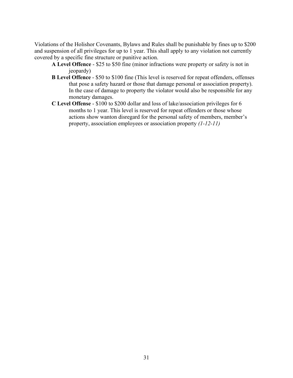Violations of the Holishor Covenants, Bylaws and Rules shall be punishable by fines up to \$200 and suspension of all privileges for up to 1 year. This shall apply to any violation not currently covered by a specific fine structure or punitive action.

- **A Level Offence** \$25 to \$50 fine (minor infractions were property or safety is not in jeopardy)
- **B Level Offence** \$50 to \$100 fine (This level is reserved for repeat offenders, offenses that pose a safety hazard or those that damage personal or association property). In the case of damage to property the violator would also be responsible for any monetary damages.
- **C Level Offense** \$100 to \$200 dollar and loss of lake/association privileges for 6 months to 1 year. This level is reserved for repeat offenders or those whose actions show wanton disregard for the personal safety of members, member's property, association employees or association property *(1-12-11)*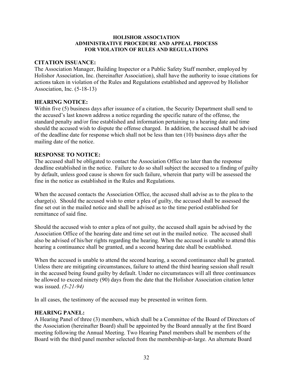#### **HOLISHOR ASSOCIATION ADMINISTRATIVE PROCEDURE AND APPEAL PROCESS FOR VIOLATION OF RULES AND REGULATIONS**

#### **CITATION ISSUANCE:**

The Association Manager, Building Inspector or a Public Safety Staff member, employed by Holishor Association, Inc. (hereinafter Association), shall have the authority to issue citations for actions taken in violation of the Rules and Regulations established and approved by Holishor Association, Inc. (5-18-13)

#### **HEARING NOTICE:**

Within five (5) business days after issuance of a citation, the Security Department shall send to the accused's last known address a notice regarding the specific nature of the offense, the standard penalty and/or fine established and information pertaining to a hearing date and time should the accused wish to dispute the offense charged. In addition, the accused shall be advised of the deadline date for response which shall not be less than ten (10) business days after the mailing date of the notice.

#### **RESPONSE TO NOTICE:**

The accused shall be obligated to contact the Association Office no later than the response deadline established in the notice. Failure to do so shall subject the accused to a finding of guilty by default, unless good cause is shown for such failure, wherein that party will be assessed the fine in the notice as established in the Rules and Regulations.

When the accused contacts the Association Office, the accused shall advise as to the plea to the charge(s). Should the accused wish to enter a plea of guilty, the accused shall be assessed the fine set out in the mailed notice and shall be advised as to the time period established for remittance of said fine.

Should the accused wish to enter a plea of not guilty, the accused shall again be advised by the Association Office of the hearing date and time set out in the mailed notice. The accused shall also be advised of his/her rights regarding the hearing. When the accused is unable to attend this hearing a continuance shall be granted, and a second hearing date shall be established.

When the accused is unable to attend the second hearing, a second continuance shall be granted. Unless there are mitigating circumstances, failure to attend the third hearing session shall result in the accused being found guilty by default. Under no circumstances will all three continuances be allowed to exceed ninety (90) days from the date that the Holishor Association citation letter was issued. *(5-21-94)*

In all cases, the testimony of the accused may be presented in written form.

# **HEARING PANEL:**

A Hearing Panel of three (3) members, which shall be a Committee of the Board of Directors of the Association (hereinafter Board) shall be appointed by the Board annually at the first Board meeting following the Annual Meeting. Two Hearing Panel members shall be members of the Board with the third panel member selected from the membership-at-large. An alternate Board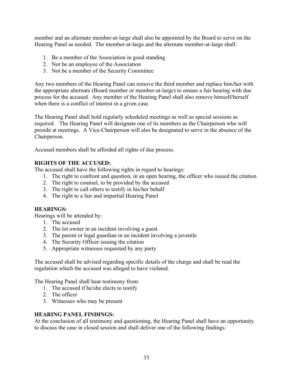member and an alternate member-at-large shall also be appointed by the Board to serve on the Hearing Panel as needed. The member-at-large and the alternate member-at-large shall:

- 1. Be a member of the Association in good standing
- 2. Not be an employee of the Association
- 3. Not be a member of the Security Committee

Any two members of the Hearing Panel can remove the third member and replace him/her with the appropriate alternate (Board member or member-at-large) to ensure a fair hearing with due process for the accused. Any member of the Hearing Panel shall also remove himself/herself when there is a conflict of interest in a given case.

The Hearing Panel shall hold regularly scheduled meetings as well as special sessions as required. The Hearing Panel will designate one of its members as the Chairperson who will preside at meetings. A Vice-Chairperson will also be designated to serve in the absence of the Chairperson.

Accused members shall be afforded all rights of due process.

# **RIGHTS OF THE ACCUSED:**

The accused shall have the following rights in regard to hearings:

- 1. The right to confront and question, in an open hearing, the officer who issued the citation
- 2. The right to counsel, to be provided by the accused
- 3. The right to call others to testify in his/her behalf
- 4. The right to a fair and impartial Hearing Panel

# **HEARINGS:**

Hearings will be attended by:

- 1. The accused
- 2. The lot owner in an incident involving a guest
- 3. The parent or legal guardian in an incident involving a juvenile
- 4. The Security Officer issuing the citation
- 5. Appropriate witnesses requested by any party

The accused shall be advised regarding specific details of the charge and shall be read the regulation which the accused was alleged to have violated.

The Hearing Panel shall hear testimony from:

- 1. The accused if he/she elects to testify
- 2. The officer
- 3. Witnesses who may be present

#### **HEARING PANEL FINDINGS:**

At the conclusion of all testimony and questioning, the Hearing Panel shall have an opportunity to discuss the case in closed session and shall deliver one of the following findings: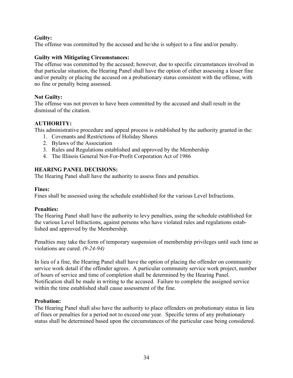# **Guilty:**

The offense was committed by the accused and he/she is subject to a fine and/or penalty.

# **Guilty with Mitigating Circumstances:**

The offense was committed by the accused; however, due to specific circumstances involved in that particular situation, the Hearing Panel shall have the option of either assessing a lesser fine and/or penalty or placing the accused on a probationary status consistent with the offense, with no fine or penalty being assessed.

# **Not Guilty:**

The offense was not proven to have been committed by the accused and shall result in the dismissal of the citation.

# **AUTHORITY:**

This administrative procedure and appeal process is established by the authority granted in the:

- 1. Covenants and Restrictions of Holiday Shores
- 2. Bylaws of the Association
- 3. Rules and Regulations established and approved by the Membership
- 4. The Illinois General Not-For-Profit Corporation Act of 1986

# **HEARING PANEL DECISIONS:**

The Hearing Panel shall have the authority to assess fines and penalties.

# **Fines:**

Fines shall be assessed using the schedule established for the various Level Infractions.

# **Penalties:**

The Hearing Panel shall have the authority to levy penalties, using the schedule established for the various Level Infractions, against persons who have violated rules and regulations established and approved by the Membership.

Penalties may take the form of temporary suspension of membership privileges until such time as violations are cured. *(9-24-94)*

In lieu of a fine, the Hearing Panel shall have the option of placing the offender on community service work detail if the offender agrees. A particular community service work project, number of hours of service and time of completion shall be determined by the Hearing Panel. Notification shall be made in writing to the accused. Failure to complete the assigned service within the time established shall cause assessment of the fine.

# **Probation:**

The Hearing Panel shall also have the authority to place offenders on probationary status in lieu of fines or penalties for a period not to exceed one year. Specific terms of any probationary status shall be determined based upon the circumstances of the particular case being considered.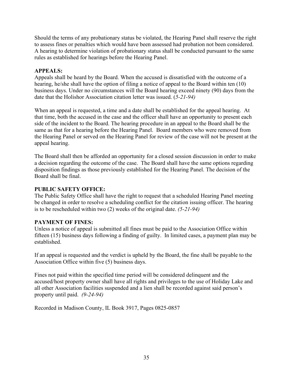Should the terms of any probationary status be violated, the Hearing Panel shall reserve the right to assess fines or penalties which would have been assessed had probation not been considered. A hearing to determine violation of probationary status shall be conducted pursuant to the same rules as established for hearings before the Hearing Panel.

#### **APPEALS:**

Appeals shall be heard by the Board. When the accused is dissatisfied with the outcome of a hearing, he/she shall have the option of filing a notice of appeal to the Board within ten (10) business days. Under no circumstances will the Board hearing exceed ninety (90) days from the date that the Holishor Association citation letter was issued. (*5-21-94)*

When an appeal is requested, a time and a date shall be established for the appeal hearing. At that time, both the accused in the case and the officer shall have an opportunity to present each side of the incident to the Board. The hearing procedure in an appeal to the Board shall be the same as that for a hearing before the Hearing Panel. Board members who were removed from the Hearing Panel or served on the Hearing Panel for review of the case will not be present at the appeal hearing.

The Board shall then be afforded an opportunity for a closed session discussion in order to make a decision regarding the outcome of the case. The Board shall have the same options regarding disposition findings as those previously established for the Hearing Panel. The decision of the Board shall be final.

#### **PUBLIC SAFETY OFFICE:**

The Public Safety Office shall have the right to request that a scheduled Hearing Panel meeting be changed in order to resolve a scheduling conflict for the citation issuing officer. The hearing is to be rescheduled within two (2) weeks of the original date. *(5-21-94)*

# **PAYMENT OF FINES:**

Unless a notice of appeal is submitted all fines must be paid to the Association Office within fifteen (15) business days following a finding of guilty. In limited cases, a payment plan may be established.

If an appeal is requested and the verdict is upheld by the Board, the fine shall be payable to the Association Office within five (5) business days.

Fines not paid within the specified time period will be considered delinquent and the accused/host property owner shall have all rights and privileges to the use of Holiday Lake and all other Association facilities suspended and a lien shall be recorded against said person's property until paid. *(9-24-94)*

Recorded in Madison County, IL Book 3917, Pages 0825-0857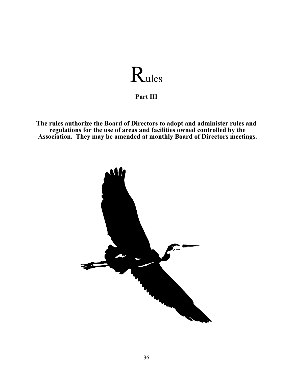# Rules

**Part III**

**The rules authorize the Board of Directors to adopt and administer rules and regulations for the use of areas and facilities owned controlled by the Association. They may be amended at monthly Board of Directors meetings.**

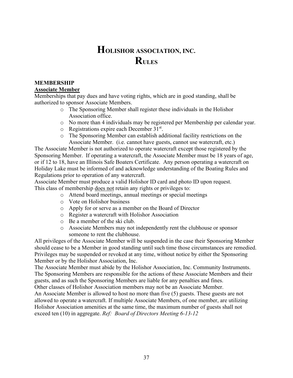# **HOLISHOR ASSOCIATION, INC. RULES**

# **MEMBERSHIP**

#### **Associate Member**

Memberships that pay dues and have voting rights, which are in good standing, shall be authorized to sponsor Associate Members.

- o The Sponsoring Member shall register these individuals in the Holishor Association office.
- o No more than 4 individuals may be registered per Membership per calendar year.
- $\circ$  Registrations expire each December 31<sup>st</sup>.
- o The Sponsoring Member can establish additional facility restrictions on the Associate Member. (i.e. cannot have guests, cannot use watercraft, etc.)

The Associate Member is not authorized to operate watercraft except those registered by the Sponsoring Member. If operating a watercraft, the Associate Member must be 18 years of age, or if 12 to 18, have an Illinois Safe Boaters Certificate. Any person operating a watercraft on Holiday Lake must be informed of and acknowledge understanding of the Boating Rules and Regulations prior to operation of any watercraft.

Associate Member must produce a valid Holishor ID card and photo ID upon request. This class of membership does not retain any rights or privileges to:

- o Attend board meetings, annual meetings or special meetings
- o Vote on Holishor business
- o Apply for or serve as a member on the Board of Director
- o Register a watercraft with Holishor Association
- o Be a member of the ski club.
- o Associate Members may not independently rent the clubhouse or sponsor someone to rent the clubhouse.

All privileges of the Associate Member will be suspended in the case their Sponsoring Member should cease to be a Member in good standing until such time those circumstances are remedied. Privileges may be suspended or revoked at any time, without notice by either the Sponsoring Member or by the Holishor Association, Inc.

The Associate Member must abide by the Holishor Association, Inc. Community Instruments. The Sponsoring Members are responsible for the actions of these Associate Members and their guests, and as such the Sponsoring Members are liable for any penalties and fines.

Other classes of Holishor Association members may not be an Associate Member.

An Associate Member is allowed to host no more than five (5) guests. These guests are not allowed to operate a watercraft. If multiple Associate Members, of one member, are utilizing Holishor Association amenities at the same time, the maximum number of guests shall not exceed ten (10) in aggregate. *Ref: Board of Directors Meeting 6-13-12*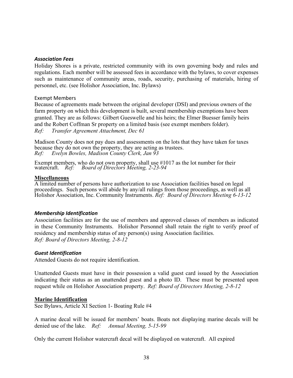#### *Association Fees*

Holiday Shores is a private, restricted community with its own governing body and rules and regulations. Each member will be assessed fees in accordance with the bylaws, to cover expenses such as maintenance of community areas, roads, security, purchasing of materials, hiring of personnel, etc. (see Holishor Association, Inc. Bylaws)

#### Exempt Members

Because of agreements made between the original developer (DSI) and previous owners of the farm property on which this development is built, several membership exemptions have been granted. They are as follows: Gilbert Gueswelle and his heirs; the Elmer Buesser family heirs and the Robert Coffman Sr property on a limited basis (see exempt members folder). *Ref: Transfer Agreement Attachment, Dec 61* 

Madison County does not pay dues and assessments on the lots that they have taken for taxes because they do not own the property, they are acting as trustees.<br>Ref: Evelyn Bowles, Madison County Clerk, Jan 93 *Ref: Evelyn Bowles, Madison County Clerk, Jan 93* 

Exempt members, who do not own property, shall use  $\#1017$  as the lot number for their watercraft. *Ref: Board of Directors Meeting, 2-23-94 Board of Directors Meeting, 2-23-94* 

#### **Miscellaneous**

A limited number of persons have authorization to use Association facilities based on legal proceedings. Such persons will abide by any/all rulings from those proceedings, as well as all Holishor Association, Inc. Community Instruments. *Ref: Board of Directors Meeting 6-13-12* 

#### *Membership Identification*

Association facilities are for the use of members and approved classes of members as indicated in these Community Instruments. Holishor Personnel shall retain the right to verify proof of residency and membership status of any person(s) using Association facilities. *Ref: Board of Directors Meeting, 2-8-12* 

#### *Guest Identification*

Attended Guests do not require identification.

Unattended Guests must have in their possession a valid guest card issued by the Association indicating their status as an unattended guest and a photo ID. These must be presented upon request while on Holishor Association property. *Ref: Board of Directors Meeting, 2-8-12* 

#### **Marine Identification**

See Bylaws, Article XI Section 1- Boating Rule #4

A marine decal will be issued for members' boats. Boats not displaying marine decals will be denied use of the lake. *Ref: Annual Meeting, 5-15-99* 

Only the current Holishor watercraft decal will be displayed on watercraft. All expired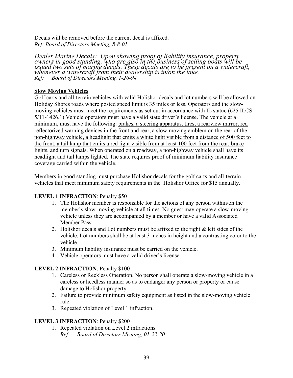Decals will be removed before the current decal is affixed. *Ref: Board of Directors Meeting, 8-8-01* 

*Dealer Marine Decals: Upon showing proof of liability insurance, property owners in good standing, who are also in the business of selling boats will be issued two sets of marine decals. These decals are to be present on a watercraft, whenever a watercraft from their dealership is in/on the lake. Ref: Board of Directors Meeting, 1-26-94* 

# **Slow Moving Vehicles**

Golf carts and all-terrain vehicles with valid Holishor decals and lot numbers will be allowed on Holiday Shores roads where posted speed limit is 35 miles or less. Operators and the slowmoving vehicles must meet the requirements as set out in accordance with IL statue (625 ILCS 5/11-1426.1) Vehicle operators must have a valid state driver's license. The vehicle at a minimum, must have the following: brakes, a steering apparatus, tires, a rearview mirror, red reflectorized warning devices in the front and rear, a slow-moving emblem on the rear of the non-highway vehicle, a headlight that emits a white light visible from a distance of 500 feet to the front, a tail lamp that emits a red light visible from at least 100 feet from the rear, brake lights, and turn signals. When operated on a roadway, a non-highway vehicle shall have its headlight and tail lamps lighted. The state requires proof of minimum liability insurance coverage carried within the vehicle.

Members in good standing must purchase Holishor decals for the golf carts and all-terrain vehicles that meet minimum safety requirements in the Holishor Office for \$15 annually.

# **LEVEL 1 INFRACTION**: Penalty \$50

- 1. The Holishor member is responsible for the actions of any person within/on the member's slow-moving vehicle at all times. No guest may operate a slow-moving vehicle unless they are accompanied by a member or have a valid Associated Member Pass.
- 2. Holishor decals and Lot numbers must be affixed to the right  $\&$  left sides of the vehicle. Lot numbers shall be at least 3 inches in height and a contrasting color to the vehicle.
- 3. Minimum liability insurance must be carried on the vehicle.
- 4. Vehicle operators must have a valid driver's license.

# **LEVEL 2 INFRACTION**: Penalty \$100

- 1. Careless or Reckless Operation. No person shall operate a slow-moving vehicle in a careless or heedless manner so as to endanger any person or property or cause damage to Holishor property.
- 2. Failure to provide minimum safety equipment as listed in the slow-moving vehicle rule.
- 3. Repeated violation of Level 1 infraction.

# **LEVEL 3 INFRACTION**: Penalty \$200

1. Repeated violation on Level 2 infractions. *Ref: Board of Directors Meeting, 01-22-20*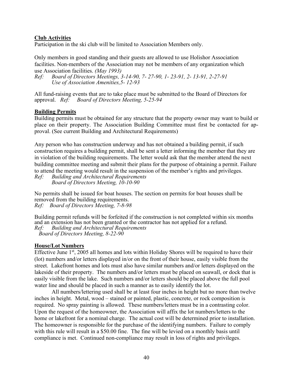# **Club Activities**

Participation in the ski club will be limited to Association Members only.

Only members in good standing and their guests are allowed to use Holishor Association facilities. Non-members of the Association may not be members of any organization which use Association facilities. *(May 1993)*

*Ref: Board of Directors Meetings, 3-14-90, 7- 27-90, 1- 23-91, 2- 13-91, 2-27-91 Use of Association Amenities,5- 12-93* 

All fund-raising events that are to take place must be submitted to the Board of Directors for approval. *Ref: Board of Directors Meeting, 5-25-94* 

#### **Building Permits**

Building permits must be obtained for any structure that the property owner may want to build or place on their property. The Association Building Committee must first be contacted for approval. (See current Building and Architectural Requirements)

Any person who has construction underway and has not obtained a building permit, if such construction requires a building permit, shall be sent a letter informing the member that they are in violation of the building requirements. The letter would ask that the member attend the next building committee meeting and submit their plans for the purpose of obtaining a permit. Failure to attend the meeting would result in the suspension of the member's rights and privileges.

*Ref: Building and Architectural Requirements Board of Directors Meeting, 10-10-90*

No permits shall be issued for boat houses. The section on permits for boat houses shall be removed from the building requirements. *Ref: Board of Directors Meeting, 7-8-98*

Building permit refunds will be forfeited if the construction is not completed within six months and an extension has not been granted or the contractor has not applied for a refund. *Ref: Building and Architectural Requirements Board of Directors Meeting, 8-22-90* 

#### **House/Lot Numbers**

Effective June  $1<sup>st</sup>$ , 2005 all homes and lots within Holiday Shores will be required to have their (lot) numbers and/or letters displayed in/or on the front of their house, easily visible from the street.Lakefront homes and lots must also have similar numbers and/or letters displayed on the lakeside of their property. The numbers and/or letters must be placed on seawall, or dock that is easily visible from the lake. Such numbers and/or letters should be placed above the full pool water line and should be placed in such a manner as to easily identify the lot.

All numbers/lettering used shall be at least four inches in height but no more than twelve inches in height. Metal, wood – stained or painted, plastic, concrete, or rock composition is required. No spray painting is allowed. These numbers/letters must be in a contrasting color. Upon the request of the homeowner, the Association will affix the lot numbers/letters to the home or lakefront for a nominal charge. The actual cost will be determined prior to installation. The homeowner is responsible for the purchase of the identifying numbers. Failure to comply with this rule will result in a \$50.00 fine. The fine will be levied on a monthly basis until compliance is met. Continued non-compliance may result in loss of rights and privileges.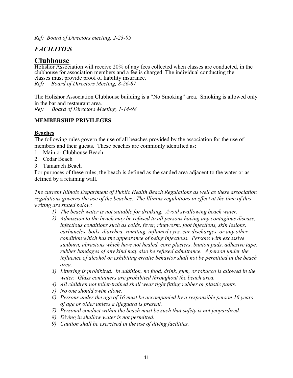*Ref: Board of Directors meeting, 2-23-05*

# *FACILITIES*

# **Clubhouse**

Holishor Association will receive 20% of any fees collected when classes are conducted, in the clubhouse for association members and a fee is charged. The individual conducting the classes must provide proof of liability insurance. *Ref: Board of Directors Meeting, 8-26-87* 

The Holishor Association Clubhouse building is a "No Smoking" area. Smoking is allowed only in the bar and restaurant area. *Ref: Board of Directors Meeting, 1-14-98*

# **MEMBERSHIP PRIVILEGES**

# **Beaches**

The following rules govern the use of all beaches provided by the association for the use of members and their guests. These beaches are commonly identified as:

- 1. Main or Clubhouse Beach
- 2. Cedar Beach
- 3. Tamarach Beach

For purposes of these rules, the beach is defined as the sanded area adjacent to the water or as defined by a retaining wall.

*The current Illinois Department of Public Health Beach Regulations as well as these association regulations governs the use of the beaches. The Illinois regulations in effect at the time of this writing are stated below:* 

- *1) The beach water is not suitable for drinking. Avoid swallowing beach water.*
- *2) Admission to the beach may be refused to all persons having any contagious disease, infectious conditions such as colds, fever, ringworm, foot infections, skin lesions, carbuncles, boils, diarrhea, vomiting, inflamed eyes, ear discharges, or any other condition which has the appearance of being infectious. Persons with excessive sunburn, abrasions which have not healed, corn plasters, bunion pads, adhesive tape, rubber bandages of any kind may also be refused admittance. A person under the influence of alcohol or exhibiting erratic behavior shall not be permitted in the beach area.*
- *3) Littering is prohibited. In addition, no food, drink, gum, or tobacco is allowed in the water. Glass containers are prohibited throughout the beach area.*
- *4) All children not toilet-trained shall wear tight fitting rubber or plastic pants.*
- *5) No one should swim alone.*
- *6) Persons under the age of 16 must be accompanied by a responsible person 16 years of age or older unless a lifeguard is present.*
- *7) Personal conduct within the beach must be such that safety is not jeopardized.*
- *8) Diving in shallow water is not permitted.*
- *9) Caution shall be exercised in the use of diving facilities.*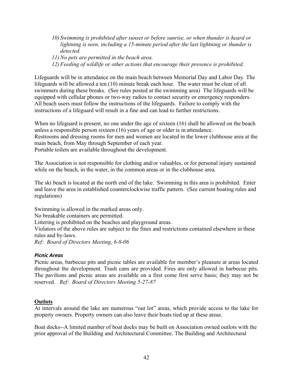- *10) Swimming is prohibited after sunset or before sunrise, or when thunder is heard or lightning is seen, including a 15-minute period after the last lightning or thunder is detected.*
- *11) No pets are permitted in the beach area.*
- *12) Feeding of wildlife or other actions that encourage their presence is prohibited.*

Lifeguards will be in attendance on the main beach between Memorial Day and Labor Day. The lifeguards will be allowed a ten (10) minute break each hour. The water must be clear of all swimmers during these breaks. (See rules posted at the swimming area) The lifeguards will be equipped with cellular phones or two-way radios to contact security or emergency responders. All beach users must follow the instructions of the lifeguards. Failure to comply with the instructions of a lifeguard will result in a fine and can lead to further restrictions.

When no lifeguard is present, no one under the age of sixteen (16) shall be allowed on the beach unless a responsible person sixteen (16) years of age or older is in attendance.

Restrooms and dressing rooms for men and women are located in the lower clubhouse area at the main beach, from May through September of each year.

Portable toilets are available throughout the development.

The Association is not responsible for clothing and/or valuables, or for personal injury sustained while on the beach, in the water, in the common areas or in the clubhouse area.

The ski beach is located at the north end of the lake. Swimming in this area is prohibited. Enter and leave the area in established counterclockwise traffic pattern. (See current boating rules and regulations)

Swimming is allowed in the marked areas only.

No breakable containers are permitted.

Littering is prohibited on the beaches and playground areas.

Violators of the above rules are subject to the fines and restrictions contained elsewhere in these rules and by-laws.

*Ref: Board of Directors Meeting, 6-8-06* 

#### *Picnic Areas*

Picnic areas, barbecue pits and picnic tables are available for member's pleasure at areas located throughout the development. Trash cans are provided. Fires are only allowed in barbecue pits. The pavilions and picnic areas are available on a first come first serve basis; they may not be reserved. *Ref: Board of Directors Meeting 5-27-87* 

#### **Outlots**

At intervals around the lake are numerous "out lot" areas, which provide access to the lake for property owners. Property owners can also leave their boats tied up at these areas.

Boat docks--A limited number of boat docks may be built on Association owned outlots with the prior approval of the Building and Architectural Committee. The Building and Architectural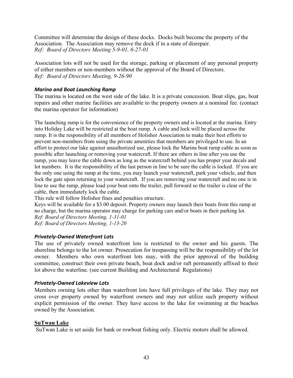Committee will determine the design of these docks. Docks built become the property of the Association. The Association may remove the dock if in a state of disrepair. *Ref: Board of Directors Meeting 5-9-01, 6-27-01* 

Association lots will not be used for the storage, parking or placement of any personal property of either members or non-members without the approval of the Board of Directors. *Ref: Board of Directors Meeting, 9-26-90* 

#### *Marina and Boat Launching Ramp*

The marina is located on the west side of the lake. It is a private concession. Boat slips, gas, boat repairs and other marine facilities are available to the property owners at a nominal fee. (contact the marina operator for information)

The launching ramp is for the convenience of the property owners and is located at the marina. Entry into Holiday Lake will be restricted at the boat ramp. A cable and lock will be placed across the ramp. It is the responsibility of all members of Holishor Association to make their best efforts to prevent non-members from using the private amenities that members are privileged to use. In an effort to protect our lake against unauthorized use, please lock the Marina boat ramp cable as soon as possible after launching or removing your watercraft. If there are others in line after you use the ramp, you may leave the cable down as long as the watercraft behind you has proper year decals and lot numbers. It is the responsibility of the last person in line to be sure the cable is locked. If you are the only one using the ramp at the time, you may launch your watercraft, park your vehicle, and then lock the gate upon returning to your watercraft. If you are removing your watercraft and no one is in line to use the ramp, please load your boat onto the trailer, pull forward so the trailer is clear of the cable, then immediately lock the cable.

This rule will follow Holishor fines and penalties structure.

Keys will be available for a \$3.00 deposit. Property owners may launch their boats from this ramp at no charge, but the marina operator may charge for parking cars and/or boats in their parking lot. *Ref: Board of Directors Meeting, 1-31-01 Ref: Board of Directors Meeting, 1-13-20* 

#### *Privately-Owned Waterfront Lots*

The use of privately owned waterfront lots is restricted to the owner and his guests. The shoreline belongs to the lot owner. Prosecution for trespassing will be the responsibility of the lot owner. Members who own waterfront lots may, with the prior approval of the building committee, construct their own private beach, boat dock and/or raft permanently affixed to their lot above the waterline. (see current Building and Architectural Regulations)

#### *Privately-Owned Lakeview Lots*

Members owning lots other than waterfront lots have full privileges of the lake. They may not cross over property owned by waterfront owners and may not utilize such property without explicit permission of the owner. They have access to the lake for swimming at the beaches owned by the Association.

#### **SuTwan Lake**

SuTwan Lake is set aside for bank or rowboat fishing only. Electric motors shall be allowed.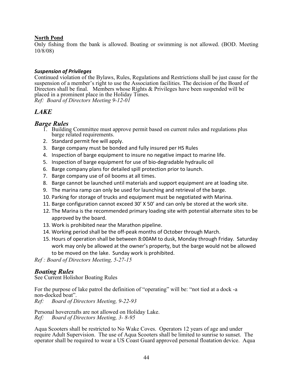#### **North Pond**

Only fishing from the bank is allowed. Boating or swimming is not allowed. (BOD. Meeting 10/8/08)

#### *Suspension of Privileges*

Continued violation of the Bylaws, Rules, Regulations and Restrictions shall be just cause for the suspension of a member's right to use the Association facilities. The decision of the Board of Directors shall be final. Members whose Rights & Privileges have been suspended will be placed in a prominent place in the Holiday Times. *Ref: Board of Directors Meeting 9-12-01*

# *LAKE*

# *Barge Rules*

- 1. Building Committee must approve permit based on current rules and regulations plus barge related requirements.
- 2. Standard permit fee will apply.
- 3. Barge company must be bonded and fully insured per HS Rules
- 4. Inspection of barge equipment to insure no negative impact to marine life.
- 5. Inspection of barge equipment for use of bio-degradable hydraulic oil
- 6. Barge company plans for detailed spill protection prior to launch.
- 7. Barge company use of oil booms at all times.
- 8. Barge cannot be launched until materials and support equipment are at loading site.
- 9. The marina ramp can only be used for launching and retrieval of the barge.
- 10. Parking for storage of trucks and equipment must be negotiated with Marina.
- 11. Barge configuration cannot exceed 30' X 50' and can only be stored at the work site.
- 12. The Marina is the recommended primary loading site with potential alternate sites to be approved by the board.
- 13. Work is prohibited near the Marathon pipeline.
- 14. Working period shall be the off-peak months of October through March.
- 15. Hours of operation shall be between 8:00AM to dusk, Monday through Friday. Saturday work may only be allowed at the owner's property, but the barge would not be allowed to be moved on the lake. Sunday work is prohibited.

*Ref : Board of Directors Meeting, 5-27-15* 

# *Boating Rules*

See Current Holishor Boating Rules

For the purpose of lake patrol the definition of "operating" will be: "not tied at a dock -a non-docked boat". *Ref: Board of Directors Meeting, 9-22-93* 

Personal hovercrafts are not allowed on Holiday Lake.<br>Ref: Board of Directors Meeting, 3-8-95 *Ref: Board of Directors Meeting, 3- 8-95* 

Aqua Scooters shall be restricted to No Wake Coves. Operators 12 years of age and under require Adult Supervision. The use of Aqua Scooters shall be limited to sunrise to sunset. The operator shall be required to wear a US Coast Guard approved personal floatation device. Aqua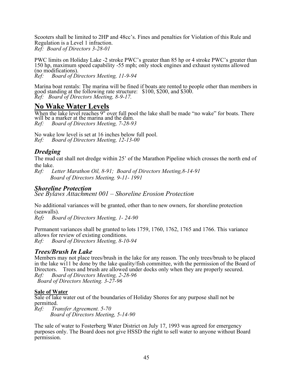Scooters shall be limited to 2HP and 48cc's. Fines and penalties for Violation of this Rule and Regulation is a Level 1 infraction. *Ref: Board of Directors 3-28-01*

PWC limits on Holiday Lake -2 stroke PWC's greater than 85 hp or 4 stroke PWC's greater than 150 hp, maximum speed capability -55 mph; only stock engines and exhaust systems allowed (no modifications). *Ref: Board of Directors Meeting, 11-9-94* 

Marina boat rentals: The marina will be fined if boats are rented to people other than members in good standing at the following rate structure: \$100, \$200, and \$300. *Ref: Board of Directors Meeting, 8-9-17.* 

# **No Wake Water Levels**

When the lake level reaches 9" over full pool the lake shall be made "no wake" for boats. There will be a marker at the marina and the dam. *Ref: Board of Directors Meeting, 7-28-93* 

No wake low level is set at 16 inches below full pool.<br>Ref: Board of Directors Meeting, 12-13-00 *Ref: Board of Directors Meeting, 12-13-00* 

# *Dredging*

The mud cat shall not dredge within 25' of the Marathon Pipeline which crosses the north end of the lake.<br> $Ref: L$ 

Letter Marathon Oil, 8-91; Board of Directors Meeting, 8-14-91  *Board of Directors Meeting. 9-11- 1991* 

# *Shoreline Protection See Bylaws Attachment 001 – Shoreline Erosion Protection*

No additional variances will be granted, other than to new owners, for shoreline protection (seawalls).<br>Ref: Bod

*Ref: Board of Directors Meeting, 1- 24-90* 

Permanent variances shall be granted to lots 1759, 1760, 1762, 1765 and 1766. This variance allows for review of existing conditions.<br>Ref: Board of Directors Meeting, 8-10 *Ref: Board of Directors Meeting, 8-10-94* 

# *Trees/Brush In Lake*

Members may not place trees/brush in the lake for any reason. The only trees/brush to be placed in the lake wi11 be done by the lake quality/fish committee, with the permission of the Board of Directors. Trees and brush are allowed under docks only when they are properly secured.<br>Ref: Board of Directors Meeting, 2-28-96 *Ref: Board of Directors Meeting, 2-28-96* 

 *Board of Directors Meeting. 3-27-96* 

# **Sale of Water**

Sale of lake water out of the boundaries of Holiday Shores for any purpose shall not be permitted.

*Ref: Transfer Agreement. 5-70 Board of Directors Meeting, 5-14-90* 

The sale of water to Fosterberg Water District on July 17, 1993 was agreed for emergency purposes only. The Board does not give HSSD the right to sell water to anyone without Board permission.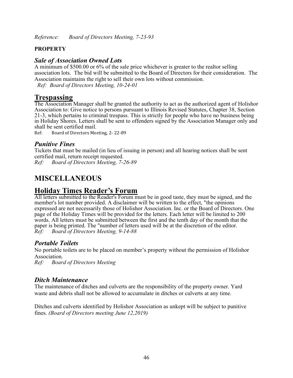# **PROPERTY**

# *Sale of Association Owned Lots*

A minimum of \$500.00 or 6% of the sale price whichever is greater to the realtor selling association lots. The bid will be submitted to the Board of Directors for their consideration. The Association maintains the right to sell their own lots without commission. *Ref: Board of Directors Meeting, 10-24-01*

# **Trespassing**

The Association Manager shall be granted the authority to act as the authorized agent of Holishor Association to: Give notice to persons pursuant to Illinois Revised Statutes, Chapter 38, Section 21-3, which pertains to criminal trespass. This is strictly for people who have no business being in Holiday Shores. Letters shall be sent to offenders signed by the Association Manager only and shall be sent certified mail.

Ref: Board of Directors Meeting, 2- 22-89

# *Punitive Fines*

Tickets that must be mailed (in lieu of issuing in person) and all hearing notices shall be sent certified mail, return receipt requested.

*Ref: Board of Directors Meeting, 7-26-89* 

# **MISCELLANEOUS**

# **Holiday Times Reader's Forum**

All letters submitted to the Reader's Forum must be in good taste, they must be signed, and the member's lot number provided. A disclaimer will be written to the effect, "the opinions expressed are not necessarily those of Holishor Association. Inc. or the Board of Directors. One page of the Holiday Times will be provided for the letters. Each letter will be limited to 200 words. All letters must be submitted between the first and the tenth day of the month that the paper is being printed. The "number of letters used will be at the discretion of the editor. *Ref: Board of Directors Meeting, 9-14-88* 

# *Portable Toilets*

No portable toilets are to be placed on member's property without the permission of Holishor Association.

*Ref: Board of Directors Meeting* 

# *Ditch Maintenance*

The maintenance of ditches and culverts are the responsibility of the property owner. Yard waste and debris shall not be allowed to accumulate in ditches or culverts at any time.

Ditches and culverts identified by Holishor Association as unkept will be subject to punitive fines. *(Board of Directors meeting June 12,2019)*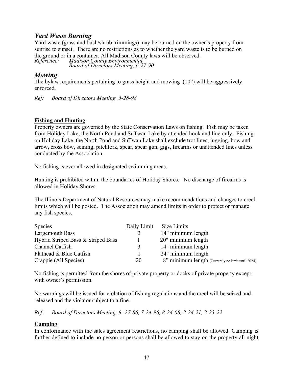# *Yard Waste Burning*

Yard waste (grass and bush/shrub trimmings) may be burned on the owner's property from sunrise to sunset. There are no restrictions as to whether the yard waste is to be burned on the ground or in a container. All Madison County laws will be observed.<br>Reference: Madison County Environmental *Reference: Madison County Environmental Board of Directors Meeting, 6-27-90* 

# *Mowing*

The bylaw requirements pertaining to grass height and mowing (10") will be aggressively enforced.

*Ref: Board of Directors Meeting 5-28-98* 

# **Fishing and Hunting**

Property owners are governed by the State Conservation Laws on fishing. Fish may be taken from Holiday Lake, the North Pond and SuTwan Lake by attended hook and line only. Fishing on Holiday Lake, the North Pond and SuTwan Lake shall exclude trot lines, jugging, bow and arrow, cross bow, seining, pitchfork, spear, spear gun, gigs, firearms or unattended lines unless conducted by the Association.

No fishing is ever allowed in designated swimming areas.

Hunting is prohibited within the boundaries of Holiday Shores. No discharge of firearms is allowed in Holiday Shores.

The Illinois Department of Natural Resources may make recommendations and changes to creel limits which will be posted. The Association may amend limits in order to protect or manage any fish species.

| Species                            | Daily Limit  | Size Limits                                       |
|------------------------------------|--------------|---------------------------------------------------|
| Largemouth Bass                    |              | 14" minimum length                                |
| Hybrid Striped Bass & Striped Bass |              | 20" minimum length                                |
| Channel Catfish                    | $\mathbf{R}$ | 14" minimum length                                |
| Flathead & Blue Catfish            |              | 24" minimum length                                |
| Crappie (All Species)              | 20           | 8" minimum length (Currently no limit until 2024) |

No fishing is permitted from the shores of private property or docks of private property except with owner's permission.

No warnings will be issued for violation of fishing regulations and the creel will be seized and released and the violator subject to a fine.

*Ref: Board of Directors Meeting, 8- 27-86, 7-24-96, 8-24-08, 2-24-21, 2-23-22* 

# **Camping**

In conformance with the sales agreement restrictions, no camping shall be allowed. Camping is further defined to include no person or persons shall be allowed to stay on the property all night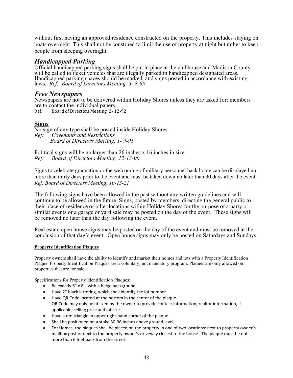without first having an approved residence constructed on the property. This includes staying on boats overnight. This shall not be construed to limit the use of property at night but rather to keep people from sleeping overnight.

# *Handicapped Parking*

Official handicapped parking signs shall be put in place at the clubhouse and Madison County will be called to ticket vehicles that are illegally parked in handicapped designated areas. Handicapped parking spaces should be marked, and signs posted in accordance with existing laws. *Ref: Board of Directors Meeting, 3- 8-89* 

#### *Free Newspapers*

Newspapers are not to be delivered within Holiday Shores unless they are asked for; members are to contact the individual papers.<br>Ref: Board of Directors Meeting. 2-1.

Board of Directors Meeting, 2-12-92

#### **Signs**

No sign of any type shall be posted inside Holiday Shores. *Ref: Covenants and Restrictions Board of Directors Meeting, 1- 9-91* 

Political signs will be no larger than 26 inches x 16 inches in size. *Ref: Board of Directors Meeting, 12-13-00.* 

Signs to celebrate graduation or the welcoming of military personnel back home can be displayed no more than thirty days prior to the event and must be taken down no later than 30 days after the event. *Ref: Board of Directors Meeting. 10-13-21*

The following signs have been allowed in the past without any written guidelines and will continue to be allowed in the future. Signs, posted by members, directing the general public to their place of residence or other locations within Holiday Shores for the purpose of a party or similar events or a garage or yard sale may be posted on the day of the event. These signs will be removed no later than the day following the event.

Real estate open house signs may be posted on the day of the event and must be removed at the conclusion of that day's event. Open house signs may only be posted on Saturdays and Sundays.

#### **Property Identification Plaques**

Property owners shall have the ability to identify and market their homes and lots with a Property Identification Plaque. Property Identification Plaques are a voluntary, not mandatory program. Plaques are only allowed on properties that are for sale.

Specifications for Property Identification Plaques:

- Be exactly 6" x 8", with a beige background.
- Have 2" black lettering, which shall identify the lot number.
- Have QR Code located at the bottom in the center of the plaque. QR Code may only be utilized by the owner to provide contact information, realtor information, if applicable, selling price and lot size.
- Have a red triangle in upper right-hand corner of the plaque.
- Shall be positioned on a stake 30-36 inches above ground level.
- For Homes, the plaques shall be placed on the property in one of two locations: next to property owner's mailbox post or next to the property owner's driveway closest to the house. The plaque must be not more than 6 feet back from the street.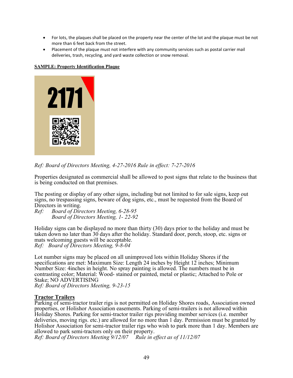- For lots, the plaques shall be placed on the property near the center of the lot and the plaque must be not more than 6 feet back from the street.
- Placement of the plaque must not interfere with any community services such as postal carrier mail deliveries, trash, recycling, and yard waste collection or snow removal.

#### **SAMPLE: Property Identification Plaque**



*Ref: Board of Directors Meeting, 4-27-2016 Rule in effect: 7-27-2016* 

Properties designated as commercial shall be allowed to post signs that relate to the business that is being conducted on that premises.

The posting or display of any other signs, including but not limited to for sale signs, keep out signs, no trespassing signs, beware of dog signs, etc., must be requested from the Board of Directors in writing.

*Ref: Board of Directors Meeting, 6-28-95 Board of Directors Meeting, 1- 22-92* 

Holiday signs can be displayed no more than thirty (30) days prior to the holiday and must be taken down no later than 30 days after the holiday. Standard door, porch, stoop, etc. signs or mats welcoming guests will be acceptable. *Ref: Board of Directors Meeting, 9-8-04* 

Lot number signs may be placed on all unimproved lots within Holiday Shores if the specifications are met: Maximum Size: Length 24 inches by Height 12 inches; Minimum Number Size: 4inches in height. No spray painting is allowed. The numbers must be in contrasting color; Material: Wood- stained or painted, metal or plastic; Attached to Pole or Stake; NO ADVERTISING *Ref: Board of Directors Meeting, 9-23-15* 

#### **Tractor Trailers**

Parking of semi-tractor trailer rigs is not permitted on Holiday Shores roads, Association owned properties, or Holishor Association easements. Parking of semi-trailers is not allowed within Holiday Shores. Parking for semi-tractor trailer rigs providing member services (i.e. member deliveries, moving rigs. etc.) are allowed for no more than 1 day. Permission must be granted by Holishor Association for semi-tractor trailer rigs who wish to park more than 1 day. Members are allowed to park semi-tractors only on their property.

*Ref: Board of Directors Meeting 9/12/07 Rule in effect as of 11/12/07*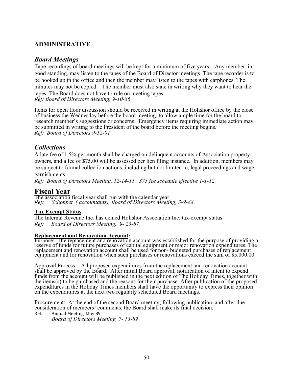# **ADMINISTRATIVE**

# *Board Meetings*

Tape recordings of board meetings will be kept for a minimum of five years. Any member, in good standing, may listen to the tapes of the Board of Director meetings. The tape recorder is to be hooked up in the office and then the member may listen to the tapes with earphones. The minutes may not be copied. The member must also state in writing why they want to hear the tapes. The Board does not have to rule on meeting tapes. *Ref: Board of Directors Meeting, 9-10-86* 

Items for open floor discussion should be received in writing at the Holishor office by the close of business the Wednesday before the board meeting, to allow ample time for the board to research member's suggestions or concerns. Emergency items requiring immediate action may be submitted in writing to the President of the board before the meeting begins. *Ref: Board of Directors 9-12-01*

# *Collections*

A late fee of 1.5% per month shall be charged on delinquent accounts of Association property owners, and a fee of \$75.00 will be assessed per lien filing instance. In addition, members may be subject to formal collection actions, including but not limited to, legal proceedings and wage garnishments.

*Ref: Board of Directors Meeting, 12-14-11. \$75 fee schedule effective 1-1-12.*

# **Fiscal Year**

The association fiscal year shall run with the calendar year. *Ref: Schoppet ( accountants), Board of Directors Meeting, 3-9-88* 

#### **Tax Exempt Status**

The Internal Revenue Inc. has denied Holishor Association Inc. tax-exempt status *Ref: Board of Directors Meeting, 9- 23-87* 

#### **Replacement and Renovation Account:**

Purpose: The replacement and renovation account was established for the purpose of providing a reserve of funds for future purchases of capital equipment or major renovation expenditures. The replacement and renovation account shall be used for non- budgeted purchases of replacement<br>equipment and for renovation when such purchases or renovations exceed the sum of \$5.000.00.

Approval Process: All proposed expenditures from the replacement and renovation account shall be approved by the Board. After initial Board approval, notification of intent to expend funds from the account will be published in the next edition of The Holiday Times, together with the items(s) to be purchased and the reasons for their purchase. After publication of the proposed expenditures in the Holiday Times members shall have the opportunity to express their opinion on the expenditures at the next two regularly scheduled Board meetings.

Procurement: At the end of the second Board meeting, following publication, and after due consideration of members' comments, the Board shall make its final decision.

Ref: Annual Meeting, May 89

 *Board of Directors Meeting, 7- 13-89*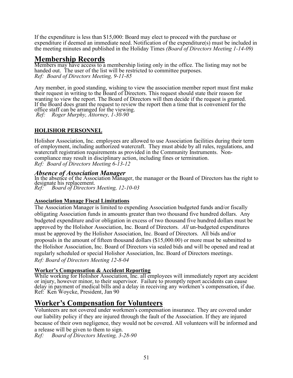If the expenditure is less than \$15,000: Board may elect to proceed with the purchase or expenditure if deemed an immediate need. Notification of the expenditure(s) must be included in the meeting minutes and published in the Holiday Times *(Board of Directors Meeting 1-14-09)*

# **Membership Records**

Members may have access to a membership listing only in the office. The listing may not be handed out. The user of the list will be restricted to committee purposes. *Ref: Board of Directors Meeting, 9-11-85* 

Any member, in good standing, wishing to view the association member report must first make their request in writing to the Board of Directors. This request should state their reason for wanting to view the report. The Board of Directors will then decide if the request is granted. If the Board does grant the request to review the report then a time that is convenient for the office staff can be arranged for the viewing. *Ref: Roger Murphy, Attorney, 1-30-90* 

**HOLISHOR PERSONNEL** 

Holishor Association, Inc. employees are allowed to use Association facilities during their term of employment, including authorized watercraft. They must abide by all rules, regulations, and watercraft registration requirements as provided in the Community Instruments. Noncompliance may result in disciplinary action, including fines or termination. *Ref: Board of Directors Meeting 6-13-12*

# *Absence of Association Manager*

In the absence of the Association Manager, the manager or the Board of Directors has the right to designate his replacement. *Ref: Board of Directors Meeting, 12-10-03* 

# **Association Manage Fiscal Limitations**

The Association Manager is limited to expending Association budgeted funds and/or fiscally obligating Association funds in amounts greater than two thousand five hundred dollars. Any budgeted expenditure and/or obligation in excess of two thousand five hundred dollars must be approved by the Holishor Association, Inc. Board of Directors. *All* un-budgeted expenditures must be approved by the Holishor Association, Inc. Board of Directors. All bids and/or proposals in the amount of fifteen thousand dollars (\$15,000.00) or more must be submitted to the Holishor Association, Inc. Board of Directors via sealed bids and will be opened and read at regularly scheduled or special Holishor Association, Inc. Board of Directors meetings. *Ref: Board of Directors Meeting 12-8-04* 

# **Worker's Compensation & Accident Reporting**

While working for Holishor Association, Inc. all employees will immediately report any accident or injury, however minor, to their supervisor. Failure to promptly report accidents can cause delay in payment of medical bills and a delay in receiving any workmen's compensation, if due. Ref: Ken Woycke, President, Jan 90

# **Worker's Compensation for Volunteers**

Volunteers are not covered under workmen's compensation insurance. They are covered under our liability policy if they are injured through the fault of the Association. If they are injured because of their own negligence, they would not be covered. All volunteers will be informed and a release will be given to them to sign.

*Ref: Board of Directors Meeting, 3-28-90*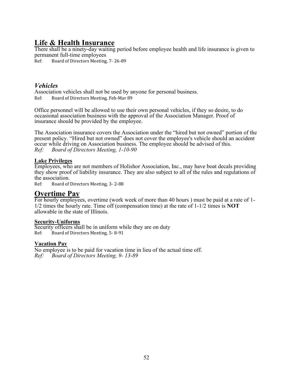# **Life & Health Insurance**

There shall be a ninety-day waiting period before employee health and life insurance is given to permanent full-time employees

Ref: Board of Directors Meeting, 7- 26-89

# *Vehicles*

Association vehicles shall not be used by anyone for personal business. Ref: Board of Directors Meeting, Feb-Mar 89

Office personnel will be allowed to use their own personal vehicles, if they so desire, to do occasional association business with the approval of the Association Manager. Proof of insurance should be provided by the employee.

The Association insurance covers the Association under the "hired but not owned" portion of the present policy. "Hired but not owned" does not cover the employee's vehicle should an accident occur while driving on Association business. The employee should be advised of this. *Ref: Board of Directors Meeting, 1-10-90* 

# **Lake Privileges**

Employees, who are not members of Holishor Association, Inc., may have boat decals providing they show proof of liability insurance. They are also subject to all of the rules and regulations of the association.<br>Ref: Board of

Board of Directors Meeting, 3-2-88

# **Overtime Pay**

For hourly employees, overtime (work week of more than 40 hours ) must be paid at a rate of 1- 1/2 times the hourly rate. Time off (compensation time) at the rate of 1-1/2 times is **NOT**  allowable in the state of Illinois.

# **Security-Uniforms**

Security officers shall be in uniform while they are on duty Ref: Board of Directors Meeting, 5- 8-91

# **Vacation Pay**

No employee is to be paid for vacation time in lieu of the actual time off.<br>Ref: Board of Directors Meeting. 9-13-89 *Ref: Board of Directors Meeting, 9- 13-89*